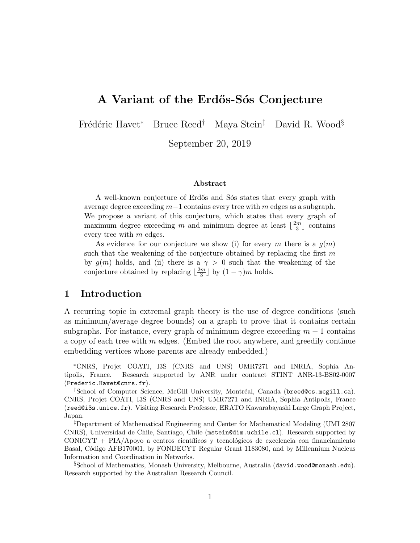# **A Variant of the Erd˝os-S´os Conjecture**

Fr´ed´eric Havet*<sup>∗</sup>* Bruce Reed*†* Maya Stein*‡* David R. Wood*§*

September 20, 2019

#### **Abstract**

A well-known conjecture of Erdős and Sós states that every graph with average degree exceeding *m−*1 contains every tree with *m* edges as a subgraph. We propose a variant of this conjecture, which states that every graph of maximum degree exceeding *m* and minimum degree at least  $\left\lfloor \frac{2m}{3} \right\rfloor$ 3 *⌋* contains every tree with *m* edges.

As evidence for our conjecture we show (i) for every *m* there is a  $g(m)$ such that the weakening of the conjecture obtained by replacing the first *m* by  $g(m)$  holds, and (ii) there is a  $\gamma > 0$  such that the weakening of the conjecture obtained by replacing  $\frac{2m}{3}$  $\frac{2m}{3}$  by  $(1 - \gamma)m$  holds.

# **1 Introduction**

A recurring topic in extremal graph theory is the use of degree conditions (such as minimum/average degree bounds) on a graph to prove that it contains certain subgraphs. For instance, every graph of minimum degree exceeding  $m-1$  contains a copy of each tree with *m* edges. (Embed the root anywhere, and greedily continue embedding vertices whose parents are already embedded.)

*<sup>∗</sup>*CNRS, Projet COATI, I3S (CNRS and UNS) UMR7271 and INRIA, Sophia Antipolis, France. Research supported by ANR under contract STINT ANR-13-BS02-0007 (Frederic.Havet@cnrs.fr).

<sup>&</sup>lt;sup>†</sup>School of Computer Science, McGill University, Montréal, Canada (breed@cs.mcgill.ca). CNRS, Projet COATI, I3S (CNRS and UNS) UMR7271 and INRIA, Sophia Antipolis, France (reed@i3s.unice.fr). Visiting Research Professor, ERATO Kawarabayashi Large Graph Project, Japan.

*<sup>‡</sup>*Department of Mathematical Engineering and Center for Mathematical Modeling (UMI 2807 CNRS), Universidad de Chile, Santiago, Chile (mstein@dim.uchile.cl). Research supported by  $CONICYT + PIA/Apoyo$  a centros científicos y tecnológicos de excelencia con financiamiento Basal, Código AFB170001, by FONDECYT Regular Grant 1183080, and by Millennium Nucleus Information and Coordination in Networks.

*<sup>§</sup>*School of Mathematics, Monash University, Melbourne, Australia (david.wood@monash.edu). Research supported by the Australian Research Council.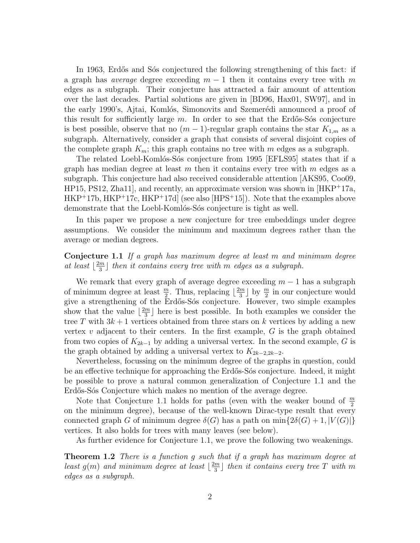In 1963, Erdős and Sós conjectured the following strengthening of this fact: if a graph has *average* degree exceeding *m −* 1 then it contains every tree with *m* edges as a subgraph. Their conjecture has attracted a fair amount of attention over the last decades. Partial solutions are given in [BD96, Hax01, SW97], and in the early 1990's, Ajtai, Komlós, Simonovits and Szemerédi announced a proof of this result for sufficiently large  $m$ . In order to see that the Erdős-Sós conjecture is best possible, observe that no  $(m-1)$ -regular graph contains the star  $K_{1,m}$  as a subgraph. Alternatively, consider a graph that consists of several disjoint copies of the complete graph  $K_m$ ; this graph contains no tree with  $m$  edges as a subgraph.

The related Loebl-Komlós-Sós conjecture from 1995 [EFLS95] states that if a graph has median degree at least *m* then it contains every tree with *m* edges as a subgraph. This conjecture had also received considerable attention [AKS95, Coo09,  $HP15, PS12, Zha11$ , and recently, an approximate version was shown in  $[HKP+17a,$ HKP<sup>+</sup>17b, HKP<sup>+</sup>17c, HKP<sup>+</sup>17d] (see also [HPS<sup>+</sup>15]). Note that the examples above demonstrate that the Loebl-Komlós-Sós conjecture is tight as well.

In this paper we propose a new conjecture for tree embeddings under degree assumptions. We consider the minimum and maximum degrees rather than the average or median degrees.

#### **Conjecture 1.1** *If a graph has maximum degree at least m and minimum degree at least*  $\frac{2m}{3}$  $\frac{m}{3}$  then it contains every tree with  $m$  edges as a subgraph.

We remark that every graph of average degree exceeding  $m-1$  has a subgraph of minimum degree at least  $\frac{m}{2}$ . Thus, replacing  $\lfloor \frac{2m}{3} \rfloor$  $\frac{2m}{3}$  by  $\frac{m}{2}$  in our conjecture would give a strengthening of the Erd˝os-S´os conjecture. However, two simple examples show that the value  $\frac{2m}{3}$  $\frac{m}{3}$  here is best possible. In both examples we consider the tree T with  $3k+1$  vertices obtained from three stars on k vertices by adding a new vertex *v* adjacent to their centers. In the first example, *G* is the graph obtained from two copies of *K*2*k−*<sup>1</sup> by adding a universal vertex. In the second example, *G* is the graph obtained by adding a universal vertex to  $K_{2k-2,2k-2}$ .

Nevertheless, focussing on the minimum degree of the graphs in question, could be an effective technique for approaching the Erdős-Sós conjecture. Indeed, it might be possible to prove a natural common generalization of Conjecture 1.1 and the Erdős-Sós Conjecture which makes no mention of the average degree.

Note that Conjecture 1.1 holds for paths (even with the weaker bound of *<sup>m</sup>* 2 on the minimum degree), because of the well-known Dirac-type result that every connected graph *G* of minimum degree  $\delta(G)$  has a path on min $\{2\delta(G) + 1, |V(G)|\}$ vertices. It also holds for trees with many leaves (see below).

As further evidence for Conjecture 1.1, we prove the following two weakenings.

**Theorem 1.2** *There is a function g such that if a graph has maximum degree at least*  $g(m)$  *and minimum degree at least*  $\left\lfloor \frac{2m}{3} \right\rfloor$  $\frac{m}{3}$  then it contains every tree T with m *edges as a subgraph.*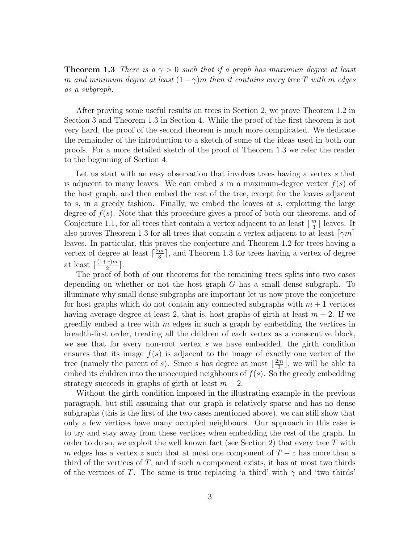**Theorem 1.3** *There is a γ >* 0 *such that if a graph has maximum degree at least m and minimum degree at least*  $(1 - \gamma)m$  *then it contains every tree T with m edges as a subgraph.*

After proving some useful results on trees in Section 2, we prove Theorem 1.2 in Section 3 and Theorem 1.3 in Section 4. While the proof of the first theorem is not very hard, the proof of the second theorem is much more complicated. We dedicate the remainder of the introduction to a sketch of some of the ideas used in both our proofs. For a more detailed sketch of the proof of Theorem 1.3 we refer the reader to the beginning of Section 4.

Let us start with an easy observation that involves trees having a vertex *s* that is adjacent to many leaves. We can embed *s* in a maximum-degree vertex *f*(*s*) of the host graph, and then embed the rest of the tree, except for the leaves adjacent to *s*, in a greedy fashion. Finally, we embed the leaves at *s*, exploiting the large degree of *f*(*s*). Note that this procedure gives a proof of both our theorems, and of Conjecture 1.1, for all trees that contain a vertex adjacent to at least  $\lceil \frac{m}{3} \rceil$  $\frac{m}{3}$  leaves. It also proves Theorem 1.3 for all trees that contain a vertex adjacent to at least  $\lceil \gamma m \rceil$ leaves. In particular, this proves the conjecture and Theorem 1.2 for trees having a vertex of degree at least  $\lceil \frac{2m}{3} \rceil$  $\frac{m}{3}$ , and Theorem 1.3 for trees having a vertex of degree at least  $\lceil \frac{(1+\gamma)m}{2} \rceil$  $\frac{\gamma}{2}$ <sup>2</sup>.

The proof of both of our theorems for the remaining trees splits into two cases depending on whether or not the host graph *G* has a small dense subgraph. To illuminate why small dense subgraphs are important let us now prove the conjecture for host graphs which do not contain any connected subgraphs with *m* + 1 vertices having average degree at least 2, that is, host graphs of girth at least  $m + 2$ . If we greedily embed a tree with *m* edges in such a graph by embedding the vertices in breadth-first order, treating all the children of each vertex as a consecutive block, we see that for every non-root vertex *s* we have embedded, the girth condition ensures that its image  $f(s)$  is adjacent to the image of exactly one vertex of the tree (namely the parent of *s*). Since *s* has degree at most  $\frac{2m}{3}$  $\frac{m}{3}$ , we will be able to embed its children into the unoccupied neighbours of  $f(s)$ . So the greedy embedding strategy succeeds in graphs of girth at least  $m + 2$ .

Without the girth condition imposed in the illustrating example in the previous paragraph, but still assuming that our graph is relatively sparse and has no dense subgraphs (this is the first of the two cases mentioned above), we can still show that only a few vertices have many occupied neighbours. Our approach in this case is to try and stay away from these vertices when embedding the rest of the graph. In order to do so, we exploit the well known fact (see Section 2) that every tree *T* with *m* edges has a vertex *z* such that at most one component of *T − z* has more than a third of the vertices of *T*, and if such a component exists, it has at most two thirds of the vertices of *T*. The same is true replacing 'a third' with  $\gamma$  and 'two thirds'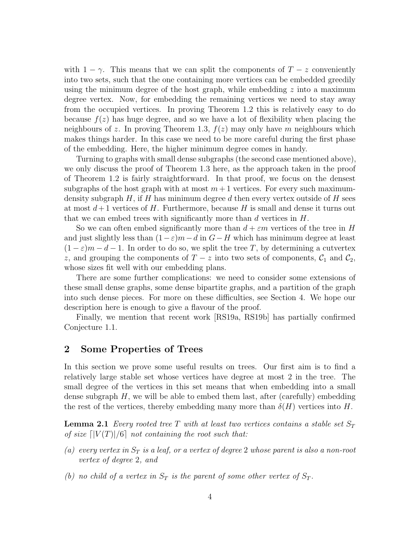with  $1 - \gamma$ . This means that we can split the components of  $T - z$  conveniently into two sets, such that the one containing more vertices can be embedded greedily using the minimum degree of the host graph, while embedding *z* into a maximum degree vertex. Now, for embedding the remaining vertices we need to stay away from the occupied vertices. In proving Theorem 1.2 this is relatively easy to do because  $f(z)$  has huge degree, and so we have a lot of flexibility when placing the neighbours of *z*. In proving Theorem 1.3,  $f(z)$  may only have *m* neighbours which makes things harder. In this case we need to be more careful during the first phase of the embedding. Here, the higher minimum degree comes in handy.

Turning to graphs with small dense subgraphs (the second case mentioned above), we only discuss the proof of Theorem 1.3 here, as the approach taken in the proof of Theorem 1.2 is fairly straightforward. In that proof, we focus on the densest subgraphs of the host graph with at most  $m+1$  vertices. For every such maximumdensity subgraph *H*, if *H* has minimum degree *d* then every vertex outside of *H* sees at most  $d+1$  vertices of H. Furthermore, because H is small and dense it turns out that we can embed trees with significantly more than *d* vertices in *H*.

So we can often embed significantly more than  $d + \varepsilon m$  vertices of the tree in *H* and just slightly less than  $(1-\varepsilon)m-d$  in  $G-H$  which has minimum degree at least  $(1 - \varepsilon)m - d - 1$ . In order to do so, we split the tree T, by determining a cutvertex *z*, and grouping the components of  $T - z$  into two sets of components,  $C_1$  and  $C_2$ , whose sizes fit well with our embedding plans.

There are some further complications: we need to consider some extensions of these small dense graphs, some dense bipartite graphs, and a partition of the graph into such dense pieces. For more on these difficulties, see Section 4. We hope our description here is enough to give a flavour of the proof.

Finally, we mention that recent work [RS19a, RS19b] has partially confirmed Conjecture 1.1.

# **2 Some Properties of Trees**

In this section we prove some useful results on trees. Our first aim is to find a relatively large stable set whose vertices have degree at most 2 in the tree. The small degree of the vertices in this set means that when embedding into a small dense subgraph  $H$ , we will be able to embed them last, after (carefully) embedding the rest of the vertices, thereby embedding many more than  $\delta(H)$  vertices into H.

**Lemma 2.1** *Every rooted tree*  $T$  *with at least two vertices contains a stable set*  $S_T$ *of size*  $\lceil |V(T)|/6 \rceil$  *not containing the root such that:* 

- *(a) every vertex in S<sup>T</sup> is a leaf, or a vertex of degree* 2 *whose parent is also a non-root vertex of degree* 2*, and*
- *(b) no child of a vertex in*  $S_T$  *is the parent of some other vertex of*  $S_T$ *.*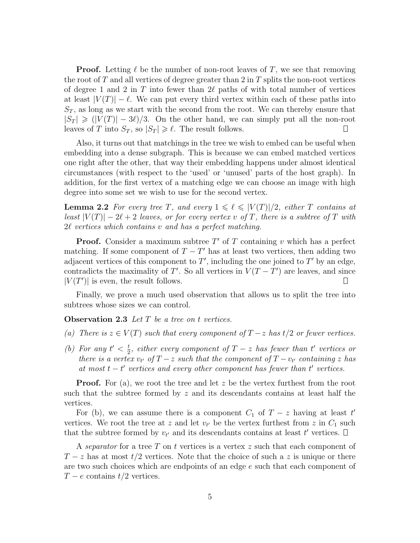**Proof.** Letting  $\ell$  be the number of non-root leaves of T, we see that removing the root of *T* and all vertices of degree greater than 2 in *T* splits the non-root vertices of degree 1 and 2 in *T* into fewer than 2*ℓ* paths of with total number of vertices at least  $|V(T)| - \ell$ . We can put every third vertex within each of these paths into  $S_T$ , as long as we start with the second from the root. We can thereby ensure that  $|S_T| \ge (|V(T)| - 3\ell)/3$ . On the other hand, we can simply put all the non-root leaves of *T* into  $S_T$ , so  $|S_T| \geq \ell$ . The result follows.  $\Box$ 

Also, it turns out that matchings in the tree we wish to embed can be useful when embedding into a dense subgraph. This is because we can embed matched vertices one right after the other, that way their embedding happens under almost identical circumstances (with respect to the 'used' or 'unused' parts of the host graph). In addition, for the first vertex of a matching edge we can choose an image with high degree into some set we wish to use for the second vertex.

**Lemma 2.2** For every tree *T*, and every  $1 \leq \ell \leq |V(T)|/2$ , either *T* contains at *least*  $|V(T)| - 2\ell + 2$  *leaves, or for every vertex v of T, there is a subtree of T with* 2*ℓ vertices which contains v and has a perfect matching.*

**Proof.** Consider a maximum subtree *T ′* of *T* containing *v* which has a perfect matching. If some component of  $T - T'$  has at least two vertices, then adding two adjacent vertices of this component to  $T'$ , including the one joined to  $T'$  by an edge, contradicts the maximality of *T'*. So all vertices in  $V(T - T')$  are leaves, and since  $|V(T')|$  is even, the result follows.  $\perp$ 

Finally, we prove a much used observation that allows us to split the tree into subtrees whose sizes we can control.

**Observation 2.3** *Let T be a tree on t vertices.*

- *(a) There is*  $z \in V(T)$  *such that every component of*  $T − z$  *has*  $t/2$  *or fewer vertices.*
- *(b)* For any  $t' < \frac{t}{2}$  $\frac{t}{2}$ *, either every component of*  $T - z$  *has fewer than*  $t'$  *vertices or there is a vertex*  $v_{t'}$  *of*  $T - z$  *such that the component of*  $T - v_{t'}$  *containing z has at most*  $t - t'$  *vertices and every other component has fewer than*  $t'$  *vertices.*

**Proof.** For (a), we root the tree and let *z* be the vertex furthest from the root such that the subtree formed by *z* and its descendants contains at least half the vertices.

For (b), we can assume there is a component  $C_1$  of  $T-z$  having at least  $t'$ vertices. We root the tree at *z* and let  $v_{t'}$  be the vertex furthest from *z* in  $C_1$  such that the subtree formed by  $v_{t'}$  and its descendants contains at least  $t'$  vertices.

A *separator* for a tree *T* on *t* vertices is a vertex *z* such that each component of *T* − *z* has at most  $t/2$  vertices. Note that the choice of such a *z* is unique or there are two such choices which are endpoints of an edge *e* such that each component of *T − e* contains *t/*2 vertices.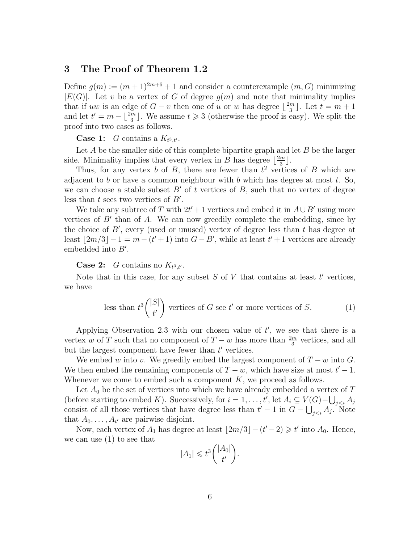# **3 The Proof of Theorem 1.2**

Define  $g(m) := (m+1)^{2m+6} + 1$  and consider a counterexample  $(m, G)$  minimizing  $|E(G)|$ . Let *v* be a vertex of *G* of degree  $g(m)$  and note that minimality implies that if *uw* is an edge of  $G - v$  then one of *u* or *w* has degree  $\left\lfloor \frac{2m}{3} \right\rfloor$  $\left[\frac{m}{3}\right]$ . Let  $t=m+1$ and let  $t' = m - \lfloor \frac{2m}{3} \rfloor$ . We assume  $t \geq 3$  (otherwise the proof is easy). We split the proof into two cases as follows.

**Case 1:** *G* contains a  $K_{t^3,t'}$ .

Let *A* be the smaller side of this complete bipartite graph and let *B* be the larger side. Minimality implies that every vertex in *B* has degree  $\frac{2m}{3}$  $\frac{m}{3}$ .

Thus, for any vertex *b* of *B*, there are fewer than  $t^2$  vertices of *B* which are adjacent to *b* or have a common neighbour with *b* which has degree at most *t*. So, we can choose a stable subset  $B'$  of  $t$  vertices of  $B$ , such that no vertex of degree less than *t* sees two vertices of *B′* .

We take any subtree of *T* with  $2t' + 1$  vertices and embed it in  $A \cup B'$  using more vertices of *B′* than of *A*. We can now greedily complete the embedding, since by the choice of *B′* , every (used or unused) vertex of degree less than *t* has degree at least  $\lfloor 2m/3 \rfloor - 1 = m - (t' + 1)$  into  $G - B'$ , while at least  $t' + 1$  vertices are already embedded into *B′* .

**Case 2:** *G* contains no  $K_{t^3,t'}$ .

Note that in this case, for any subset *S* of *V* that contains at least *t ′* vertices, we have

less than 
$$
t^3 \binom{|S|}{t'}
$$
 vertices of *G* see *t'* or more vertices of *S*. (1)

Applying Observation 2.3 with our chosen value of *t ′* , we see that there is a vertex *w* of *T* such that no component of  $T - w$  has more than  $\frac{2m}{3}$  vertices, and all but the largest component have fewer than *t ′* vertices.

We embed *w* into *v*. We greedily embed the largest component of  $T - w$  into  $G$ . We then embed the remaining components of  $T - w$ , which have size at most  $t' - 1$ . Whenever we come to embed such a component *K*, we proceed as follows.

Let  $A_0$  be the set of vertices into which we have already embedded a vertex of T (before starting to embed *K*). Successively, for  $i = 1, \ldots, t'$ , let  $A_i \subseteq V(G) - \bigcup_{j < i} A_j$ consist of all those vertices that have degree less than  $t' - 1$  in  $G - \bigcup_{j < i} A_j$ . Note that  $A_0, \ldots, A_{t'}$  are pairwise disjoint.

Now, each vertex of  $A_1$  has degree at least  $\lfloor 2m/3 \rfloor - (t'-2) \geq t'$  into  $A_0$ . Hence, we can use (1) to see that

$$
|A_1| \leq t^3 \binom{|A_0|}{t'}.
$$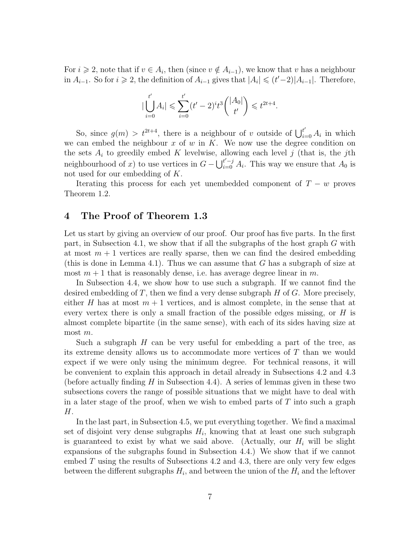For  $i \geq 2$ , note that if  $v \in A_i$ , then (since  $v \notin A_{i-1}$ ), we know that  $v$  has a neighbour in  $A_{i-1}$ . So for  $i \ge 2$ , the definition of  $A_{i-1}$  gives that  $|A_i| \le (t'-2)|A_{i-1}|$ . Therefore,

$$
\left|\bigcup_{i=0}^{t'} A_i\right| \leqslant \sum_{i=0}^{t'} (t'-2)^i t^3 \binom{\left|A_0\right|}{t'} \leqslant t^{2t+4}.
$$

So, since  $g(m) > t^{2t+4}$ , there is a neighbour of *v* outside of  $\bigcup_{i=0}^{t'} A_i$  in which we can embed the neighbour *x* of *w* in *K*. We now use the degree condition on the sets *A<sup>i</sup>* to greedily embed *K* levelwise, allowing each level *j* (that is, the *j*th neighbourhood of *x*) to use vertices in  $G - \bigcup_{i=0}^{t'-j} A_i$ . This way we ensure that  $A_0$  is not used for our embedding of *K*.

Iterating this process for each yet unembedded component of  $T - w$  proves Theorem 1.2.

## **4 The Proof of Theorem 1.3**

Let us start by giving an overview of our proof. Our proof has five parts. In the first part, in Subsection 4.1, we show that if all the subgraphs of the host graph *G* with at most  $m+1$  vertices are really sparse, then we can find the desired embedding (this is done in Lemma 4.1). Thus we can assume that *G* has a subgraph of size at most  $m+1$  that is reasonably dense, i.e. has average degree linear in  $m$ .

In Subsection 4.4, we show how to use such a subgraph. If we cannot find the desired embedding of *T*, then we find a very dense subgraph *H* of *G*. More precisely, either *H* has at most  $m + 1$  vertices, and is almost complete, in the sense that at every vertex there is only a small fraction of the possible edges missing, or *H* is almost complete bipartite (in the same sense), with each of its sides having size at most *m*.

Such a subgraph *H* can be very useful for embedding a part of the tree, as its extreme density allows us to accommodate more vertices of *T* than we would expect if we were only using the minimum degree. For technical reasons, it will be convenient to explain this approach in detail already in Subsections 4.2 and 4.3 (before actually finding *H* in Subsection 4.4). A series of lemmas given in these two subsections covers the range of possible situations that we might have to deal with in a later stage of the proof, when we wish to embed parts of *T* into such a graph *H*.

In the last part, in Subsection 4.5, we put everything together. We find a maximal set of disjoint very dense subgraphs *H<sup>i</sup>* , knowing that at least one such subgraph is guaranteed to exist by what we said above. (Actually, our  $H_i$  will be slight expansions of the subgraphs found in Subsection 4.4.) We show that if we cannot embed *T* using the results of Subsections 4.2 and 4.3, there are only very few edges between the different subgraphs  $H_i$ , and between the union of the  $H_i$  and the leftover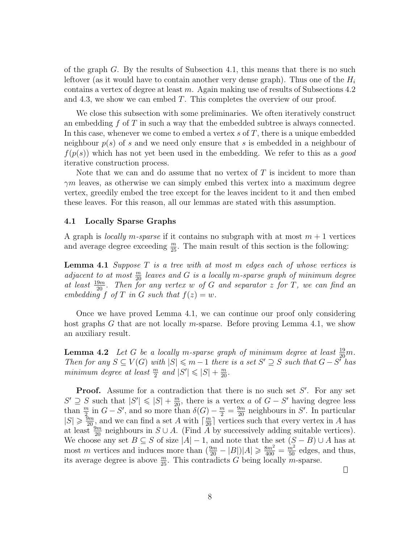of the graph *G*. By the results of Subsection 4.1, this means that there is no such leftover (as it would have to contain another very dense graph). Thus one of the *H<sup>i</sup>* contains a vertex of degree at least *m*. Again making use of results of Subsections 4.2 and 4.3, we show we can embed *T*. This completes the overview of our proof.

We close this subsection with some preliminaries. We often iteratively construct an embedding *f* of *T* in such a way that the embedded subtree is always connected. In this case, whenever we come to embed a vertex *s* of *T*, there is a unique embedded neighbour *p*(*s*) of *s* and we need only ensure that *s* is embedded in a neighbour of *f*(*p*(*s*)) which has not yet been used in the embedding. We refer to this as a *good* iterative construction process.

Note that we can and do assume that no vertex of *T* is incident to more than *γm* leaves, as otherwise we can simply embed this vertex into a maximum degree vertex, greedily embed the tree except for the leaves incident to it and then embed these leaves. For this reason, all our lemmas are stated with this assumption.

#### **4.1 Locally Sparse Graphs**

A graph is *locally m-sparse* if it contains no subgraph with at most *m* + 1 vertices and average degree exceeding  $\frac{m}{25}$ . The main result of this section is the following:

**Lemma 4.1** *Suppose T is a tree with at most m edges each of whose vertices is adjacent to at most*  $\frac{m}{20}$  *leaves and G is a locally m*-sparse graph of minimum degree *at least*  $\frac{19m}{20}$ *. Then for any vertex w of G and separator z for T, we can find an embedding*  $f$  *of*  $T$  *in*  $G$  *such that*  $f(z) = w$ *.* 

Once we have proved Lemma 4.1, we can continue our proof only considering host graphs *G* that are not locally *m*-sparse. Before proving Lemma 4.1, we show an auxiliary result.

**Lemma 4.2** *Let G be a locally m*-sparse graph of minimum degree at least  $\frac{19}{20}$ *m*. Then for any  $S \subseteq V(G)$  with  $|S| \leq m-1$  there is a set  $S' \supseteq S$  such that  $G - S'$  has *minimum degree at least*  $\frac{m}{2}$  *and*  $|S'| \leq |S| + \frac{m}{20}$ .

**Proof.** Assume for a contradiction that there is no such set *S ′* . For any set  $S' \supseteq S$  such that  $|S'| \leq |S| + \frac{m}{20}$ , there is a vertex *a* of  $G - S'$  having degree less than  $\frac{m}{2}$  in  $G-S'$ , and so more than  $\delta(G) - \frac{m}{2} = \frac{9m}{20}$  neighbours in S'. In particular  $|S| \geq \frac{9m}{20}$ , and we can find a set *A* with  $\lceil \frac{m}{20} \rceil$  vertices such that every vertex in *A* has at least  $\frac{9m}{20}$  neighbours in  $S \cup A$ . (Find  $\tilde{A}$  by successively adding suitable vertices). We choose any set  $B \subseteq S$  of size  $|A| - 1$ , and note that the set  $(S - B) \cup A$  has at most *m* vertices and induces more than  $(\frac{9m}{20} - |B|)|A| \geq \frac{8m^2}{400} = \frac{m^2}{50}$  edges, and thus, its average degree is above  $\frac{m}{25}$ . This contradicts *G* being locally *m*-sparse.

 $\Box$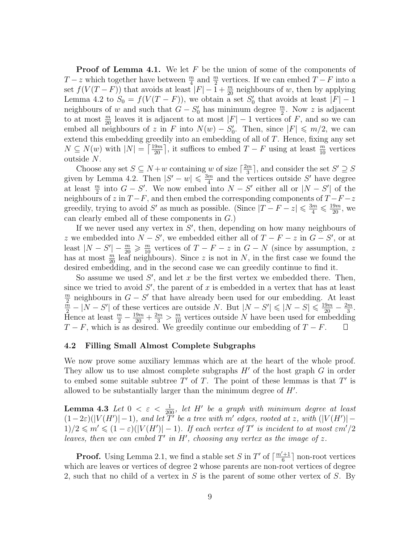**Proof of Lemma 4.1.** We let F be the union of some of the components of *T* − *z* which together have between  $\frac{m}{4}$  and  $\frac{m}{2}$  vertices. If we can embed *T* − *F* into a set  $f(V(T - F))$  that avoids at least  $|F| - 1 + \frac{m}{20}$  neighbours of *w*, then by applying Lemma 4.2 to  $S_0 = f(V(T - F))$ , we obtain a set  $S'_0$  that avoids at least  $|F| - 1$ neighbours of *w* and such that  $G - S'_0$  has minimum degree  $\frac{m}{2}$ . Now *z* is adjacent to at most  $\frac{m}{20}$  leaves it is adjacent to at most  $|F| - 1$  vertices of *F*, and so we can embed all neighbours of *z* in *F* into  $N(w) - S'_{0}$ . Then, since  $|F| \le m/2$ , we can extend this embedding greedily into an embedding of all of *T*. Hence, fixing any set *N* ⊆ *N*(*w*) with  $|N| = \left\lceil \frac{19m}{20} \right\rceil$ , it suffices to embed *T* − *F* using at least  $\frac{m}{10}$  vertices outside *N*.

Choose any set  $S \subseteq N + w$  containing *w* of size  $\lceil \frac{2m}{3} \rceil$  $\frac{m}{3}$ , and consider the set  $S' \supseteq S$ given by Lemma 4.2. Then  $|S'-w| \leq \frac{3m}{4}$  $\frac{m}{4}$  and the vertices outside S' have degree at least  $\frac{m}{2}$  into  $G - S'$ . We now embed into  $N - S'$  either all or  $|N - S'|$  of the neighbours of  $z$  in  $T - F$ , and then embed the corresponding components of  $T - F - z$ greedily, trying to avoid *S'* as much as possible. (Since  $|T - F - z| \leq \frac{3m}{4} \leq \frac{19m}{20}$ , we can clearly embed all of these components in *G*.)

If we never used any vertex in *S ′* , then, depending on how many neighbours of *z* we embedded into  $N - S'$ , we embedded either all of  $T - F - z$  in  $G - S'$ , or at least  $|N - S'| - \frac{m}{20} \geqslant \frac{m}{10}$  vertices of  $T - F - z$  in  $G - N$  (since by assumption, *z* has at most  $\frac{m}{20}$  leaf neighbours). Since *z* is not in *N*, in the first case we found the desired embedding, and in the second case we can greedily continue to find it.

So assume we used S', and let x be the first vertex we embedded there. Then, since we tried to avoid  $S'$ , the parent of  $x$  is embedded in a vertex that has at least *m*  $\frac{m}{2}$  neighbours in  $G - S'$  that have already been used for our embedding. At least  $\frac{\bar{m}}{2} - |N - S'|$  of these vertices are outside N. But  $|N - S'| \leq |N - S| \leq \frac{19m}{20} - \frac{2m}{3}$  $\frac{m}{3}$ . Hence at least  $\frac{m}{2} - \frac{19m}{20} + \frac{2m}{3} > \frac{m}{10}$  vertices outside *N* have been used for embedding *T − F*, which is as desired. We greedily continue our embedding of *T − F*.

#### **4.2 Filling Small Almost Complete Subgraphs**

We now prove some auxiliary lemmas which are at the heart of the whole proof. They allow us to use almost complete subgraphs *H′* of the host graph *G* in order to embed some suitable subtree  $T'$  of  $T$ . The point of these lemmas is that  $T'$  is allowed to be substantially larger than the minimum degree of *H′* .

 $\textbf{Lemma 4.3} \ \textit{Let} \ \textbf{0} \ < \ \varepsilon \ < \ \frac{1}{200}, \ \textit{let} \ \textit{H}' \ \textit{be} \ \textit{a} \ \textit{graph} \ \textit{with} \ \textit{minimum} \ \textit{degree} \ \textit{at} \ \textit{least}$  $(1-2\varepsilon)(|V(H')|-1)$ , and let T' be a tree with m' edges, rooted at z, with  $(|V(H')|-1)$  $1)/2 \leqslant m' \leqslant (1-\varepsilon)(|V(H')|-1)$ . If each vertex of  $T'$  is incident to at most  $\varepsilon m'/2$ *leaves, then we can embed*  $T'$  *in*  $H'$ *, choosing any vertex as the image of z.* 

**Proof.** Using Lemma 2.1, we find a stable set *S* in  $T'$  of  $\lceil \frac{m'+1}{6} \rceil$  $\frac{a+1}{6}$  non-root vertices which are leaves or vertices of degree 2 whose parents are non-root vertices of degree 2, such that no child of a vertex in *S* is the parent of some other vertex of *S*. By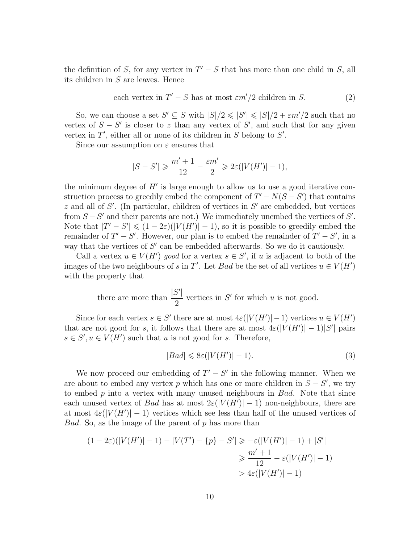the definition of *S*, for any vertex in  $T' - S$  that has more than one child in *S*, all its children in *S* are leaves. Hence

each vertex in 
$$
T' - S
$$
 has at most  $\varepsilon m'/2$  children in S. (2)

So, we can choose a set  $S' \subseteq S$  with  $|S|/2 \leq |S'| \leq |S|/2 + \varepsilon m'/2$  such that no vertex of  $S - S'$  is closer to z than any vertex of  $S'$ , and such that for any given vertex in *T ′* , either all or none of its children in *S* belong to *S ′* .

Since our assumption on *ε* ensures that

$$
|S-S'|\geqslant \frac{m'+1}{12}-\frac{\varepsilon m'}{2}\geqslant 2\varepsilon(|V(H')|-1),
$$

the minimum degree of *H′* is large enough to allow us to use a good iterative construction process to greedily embed the component of  $T' - N(S - S')$  that contains *z* and all of *S ′* . (In particular, children of vertices in *S ′* are embedded, but vertices from *S −S ′* and their parents are not.) We immediately unembed the vertices of *S ′* . Note that  $|T' - S'| \leq (1 - 2\varepsilon)(|V(H')| - 1)$ , so it is possible to greedily embed the remainder of  $T' - S'$ . However, our plan is to embed the remainder of  $T' - S'$ , in a way that the vertices of *S ′* can be embedded afterwards. So we do it cautiously.

Call a vertex  $u \in V(H')$  good for a vertex  $s \in S'$ , if u is adjacent to both of the images of the two neighbours of *s* in *T'*. Let *Bad* be the set of all vertices  $u \in V(H')$ with the property that

> there are more than  $\frac{|S'|}{2}$ 2 vertices in  $S'$  for which  $u$  is not good.

Since for each vertex  $s \in S'$  there are at most  $4\varepsilon(|V(H')|-1)$  vertices  $u \in V(H')$ that are not good for *s*, it follows that there are at most  $4\varepsilon(|V(H')|-1)|S'|$  pairs  $s \in S', u \in V(H')$  such that *u* is not good for *s*. Therefore,

$$
|Bad| \leqslant 8\varepsilon (|V(H')|-1). \tag{3}
$$

We now proceed our embedding of  $T' - S'$  in the following manner. When we are about to embed any vertex  $p$  which has one or more children in  $S - S'$ , we try to embed *p* into a vertex with many unused neighbours in *Bad*. Note that since each unused vertex of *Bad* has at most  $2\varepsilon(|V(H')|-1)$  non-neighbours, there are at most  $4\varepsilon(|V(H')|-1)$  vertices which see less than half of the unused vertices of *Bad*. So, as the image of the parent of *p* has more than

$$
(1 - 2\varepsilon)(|V(H')| - 1) - |V(T') - \{p\} - S'| \ge -\varepsilon(|V(H')| - 1) + |S'|
$$
  

$$
\ge \frac{m' + 1}{12} - \varepsilon(|V(H')| - 1)
$$
  

$$
> 4\varepsilon(|V(H')| - 1)
$$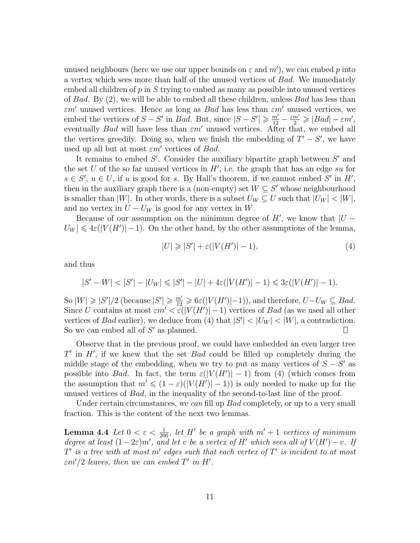unused neighbours (here we use our upper bounds on *ε* and *m′* ), we can embed *p* into a vertex which sees more than half of the unused vertices of *Bad*. We immediately embed all children of *p* in *S* trying to embed as many as possible into unused vertices of *Bad*. By (2), we will be able to embed all these children, unless *Bad* has less than *εm′* unused vertices. Hence as long as *Bad* has less than *εm′* unused vertices, we embed the vertices of  $S - S'$  in *Bad*. But, since  $|S - S'| \ge \frac{m'}{12} - \frac{\varepsilon m'}{2} \ge |Bad| - \varepsilon m'$ , eventually *Bad* will have less than *εm′* unused vertices. After that, we embed all the vertices greedily. Doing so, when we finish the embedding of  $T' - S'$ , we have used up all but at most *εm′* vertices of *Bad*.

It remains to embed *S ′* . Consider the auxiliary bipartite graph between *S ′* and the set *U* of the so far unused vertices in *H′* , i.e. the graph that has an edge *su* for  $s \in S'$ ,  $u \in U$ , if *u* is good for *s*. By Hall's theorem, if we cannot embed *S'* in *H'*, then in the auxiliary graph there is a (non-empty) set  $W \subseteq S'$  whose neighbourhood is smaller than  $|W|$ . In other words, there is a subset  $U_W \subseteq U$  such that  $|U_W| < |W|$ , and no vertex in  $U - U_W$  is good for any vertex in W.

Because of our assumption on the minimum degree of *H′* , we know that *|U −*  $U_W$   $\leq 4\varepsilon$ ( $|V(H')|$  – 1). On the other hand, by the other assumptions of the lemma,

$$
|U| \geqslant |S'| + \varepsilon(|V(H')| - 1),\tag{4}
$$

and thus

$$
|S' - W| < |S'| - |U_W| \leq |S'| - |U| + 4\varepsilon(|V(H')| - 1) \leq 3\varepsilon(|V(H')| - 1).
$$

So  $|W| \geq |S'|/2$  (because  $|S'| \geq \frac{m'}{12} \geq 6\varepsilon(|V(H')|-1)$ ), and therefore,  $U-U_W \subseteq Bad$ . Since *U* contains at most  $\varepsilon m' < \varepsilon(|V(H')|-1)$  vertices of *Bad* (as we used all other vertices of *Bad* earlier), we deduce from (4) that  $|S'| < |U_W| < |W|$ , a contradiction. So we can embed all of *S ′* as planned.  $\Box$ 

Observe that in the previous proof, we could have embedded an even larger tree *T'* in *H'*, if we knew that the set *Bad* could be filled up completely during the middle stage of the embedding, when we try to put as many vertices of  $S - S'$  as possible into *Bad*. In fact, the term  $\varepsilon(|V(H')|-1)$  from (4) (which comes from the assumption that  $m' \leq (1 - \varepsilon)(|V(H')| - 1)$  is only needed to make up for the unused vertices of *Bad*, in the inequality of the second-to-last line of the proof.

Under certain circumstances, we *can* fill up *Bad* completely, or up to a very small fraction. This is the content of the next two lemmas.

**Lemma 4.4** *Let*  $0 < \varepsilon < \frac{1}{200}$ , *let*  $H'$  *be a graph with*  $m' + 1$  *vertices of minimum degree at least*  $(1-2\varepsilon)m'$ , and let *v* be a vertex of *H'* which sees all of  $V(H') - v$ . If *T ′ is a tree with at most m′ edges such that each vertex of T ′ is incident to at most εm′/*2 *leaves, then we can embed T ′ in H′ .*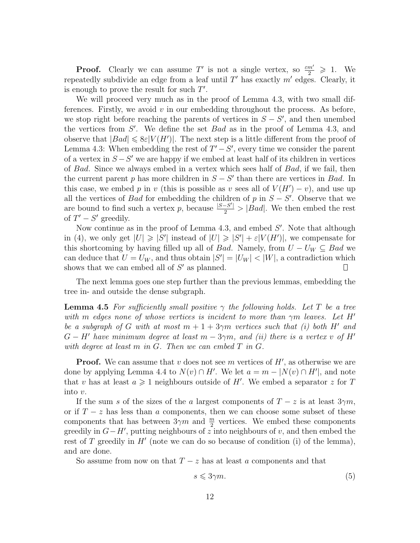**Proof.** Clearly we can assume  $T'$  is not a single vertex, so  $\frac{\varepsilon m'}{2} \geq 1$ . We repeatedly subdivide an edge from a leaf until *T ′* has exactly *m′* edges. Clearly, it is enough to prove the result for such *T ′* .

We will proceed very much as in the proof of Lemma 4.3, with two small differences. Firstly, we avoid *v* in our embedding throughout the process. As before, we stop right before reaching the parents of vertices in  $S - S'$ , and then unembed the vertices from *S ′* . We define the set *Bad* as in the proof of Lemma 4.3, and observe that  $|Bad| \leqslant 8\varepsilon |V(H')|$ . The next step is a little different from the proof of Lemma 4.3: When embedding the rest of  $T' - S'$ , every time we consider the parent of a vertex in *S −S ′* we are happy if we embed at least half of its children in vertices of *Bad*. Since we always embed in a vertex which sees half of *Bad*, if we fail, then the current parent *p* has more children in  $S - S'$  than there are vertices in *Bad*. In this case, we embed *p* in *v* (this is possible as *v* sees all of  $V(H') - v$ ), and use up all the vertices of *Bad* for embedding the children of *p* in  $S - S'$ . Observe that we are bound to find such a vertex *p*, because  $\frac{|S-S'|}{2} > |Bad|$ . We then embed the rest of  $T' - S'$  greedily.

Now continue as in the proof of Lemma 4.3, and embed  $S'$ . Note that although in (4), we only get  $|U| \geq |S'|$  instead of  $|U| \geq |S'| + \varepsilon |V(H')|$ , we compensate for this shortcoming by having filled up all of *Bad*. Namely, from  $U - U_W \subseteq$  *Bad* we can deduce that  $U = U_W$ , and thus obtain  $|S'| = |U_W| < |W|$ , a contradiction which shows that we can embed all of *S ′* as planned. Ш

The next lemma goes one step further than the previous lemmas, embedding the tree in- and outside the dense subgraph.

**Lemma 4.5** For sufficiently small positive  $\gamma$  the following holds. Let T be a tree *with m edges none of whose vertices is incident to more than γm leaves. Let H′ be a subgraph of G with at most*  $m + 1 + 3\gamma m$  *vertices such that (i) both H'* and  $G - H'$  have minimum degree at least  $m - 3\gamma m$ , and (ii) there is a vertex v of H<sup>'</sup> *with degree at least m in G. Then we can embed T in G.*

**Proof.** We can assume that *v* does not see *m* vertices of *H′* , as otherwise we are done by applying Lemma 4.4 to  $N(v) \cap H'$ . We let  $a = m - |N(v) \cap H'|$ , and note that *v* has at least  $a \geq 1$  neighbours outside of *H'*. We embed a separator *z* for *T* into *v*.

If the sum *s* of the sizes of the *a* largest components of  $T - z$  is at least  $3\gamma m$ , or if  $T - z$  has less than *a* components, then we can choose some subset of these components that has between  $3\gamma m$  and  $\frac{m}{2}$  vertices. We embed these components greedily in *G−H′* , putting neighbours of *z* into neighbours of *v*, and then embed the rest of *T* greedily in *H<sup>'</sup>* (note we can do so because of condition (i) of the lemma), and are done.

So assume from now on that  $T - z$  has at least *a* components and that

$$
s \leqslant 3\gamma m. \tag{5}
$$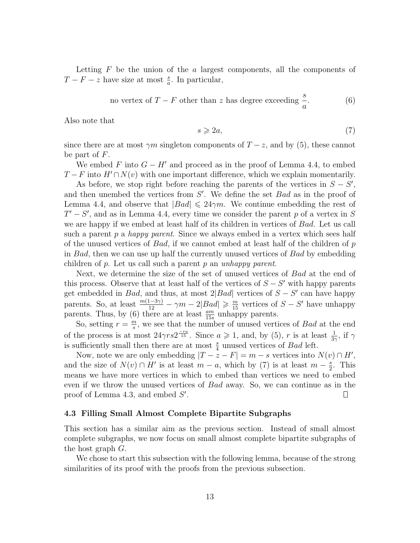Letting *F* be the union of the *a* largest components, all the components of *T* − *F* − *z* have size at most  $\frac{s}{a}$ . In particular,

no vertex of 
$$
T - F
$$
 other than z has degree exceeding  $\frac{s}{a}$ . (6)

Also note that

$$
s \geqslant 2a,\tag{7}
$$

since there are at most  $\gamma m$  singleton components of  $T - z$ , and by (5), these cannot be part of *F*.

We embed F into  $G - H'$  and proceed as in the proof of Lemma 4.4, to embed  $T - F$  into  $H' \cap N(v)$  with one important difference, which we explain momentarily.

As before, we stop right before reaching the parents of the vertices in  $S - S'$ , and then unembed the vertices from *S ′* . We define the set *Bad* as in the proof of Lemma 4.4, and observe that  $|Bad| \leq 24\gamma m$ . We continue embedding the rest of *T ′ − S ′* , and as in Lemma 4.4, every time we consider the parent *p* of a vertex in *S* we are happy if we embed at least half of its children in vertices of *Bad*. Let us call such a parent *p* a *happy parent*. Since we always embed in a vertex which sees half of the unused vertices of *Bad*, if we cannot embed at least half of the children of *p* in *Bad*, then we can use up half the currently unused vertices of *Bad* by embedding children of *p*. Let us call such a parent *p* an *unhappy parent*.

Next, we determine the size of the set of unused vertices of *Bad* at the end of this process. Observe that at least half of the vertices of  $S - S'$  with happy parents get embedded in *Bad*, and thus, at most  $2|Bad|$  vertices of  $S - S'$  can have happy parents. So, at least  $\frac{m(1-3\gamma)}{12} - \gamma m - 2|Bad| \geq \frac{m}{15}$  vertices of  $S - S'$  have unhappy parents. Thus, by (6) there are at least  $\frac{am}{15s}$  unhappy parents.

So, setting  $r = \frac{m}{s}$ *s* , we see that the number of unused vertices of *Bad* at the end of the process is at most  $24\gamma rs2^{\frac{-ra}{15}}$ . Since  $a \geq 1$ , and, by (5), *r* is at least  $\frac{1}{3\gamma}$ , if  $\gamma$ is sufficiently small then there are at most  $\frac{s}{4}$  unused vertices of *Bad* left.

Now, note we are only embedding  $|T - z - F| = m - s$  vertices into  $N(v) \cap H'$ , and the size of  $N(v) \cap H'$  is at least  $m - a$ , which by (7) is at least  $m - \frac{s}{2}$  $\frac{s}{2}$ . This means we have more vertices in which to embed than vertices we need to embed even if we throw the unused vertices of *Bad* away. So, we can continue as in the proof of Lemma 4.3, and embed *S ′* .  $\Box$ 

#### **4.3 Filling Small Almost Complete Bipartite Subgraphs**

This section has a similar aim as the previous section. Instead of small almost complete subgraphs, we now focus on small almost complete bipartite subgraphs of the host graph *G*.

We chose to start this subsection with the following lemma, because of the strong similarities of its proof with the proofs from the previous subsection.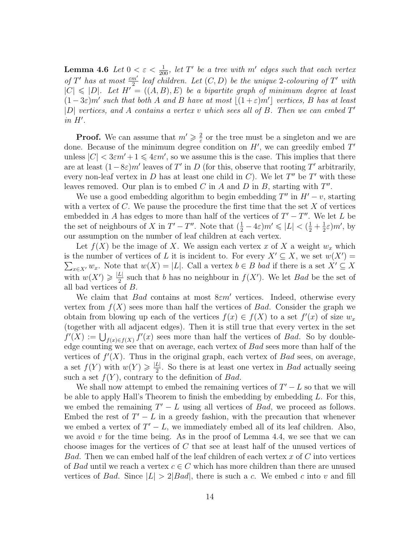**Lemma 4.6** *Let*  $0 < \varepsilon < \frac{1}{200}$ , *let*  $T'$  *be a tree with*  $m'$  *edges such that each vertex of*  $T'$  *has at most*  $\frac{\varepsilon m'}{2}$  *leaf children. Let*  $(C, D)$  *be the unique* 2*-colouring of*  $T'$  *with*  $|C| \leq |D|$ *. Let*  $H' = ((A, B), E)$  *be a bipartite graph of minimum degree at least*  $(1-3\varepsilon)m'$  such that both *A* and *B* have at most  $\lfloor (1+\varepsilon)m' \rfloor$  vertices, *B* has at least *|D| vertices, and A contains a vertex v which sees all of B. Then we can embed T ′ in H′ .*

**Proof.** We can assume that  $m' \geqslant \frac{2}{\varepsilon}$  $\frac{2}{\varepsilon}$  or the tree must be a singleton and we are done. Because of the minimum degree condition on *H′* , we can greedily embed *T ′* unless  $|C|$   $<$  3 $\varepsilon m'$  + 1  $\leq$  4 $\varepsilon m'$ , so we assume this is the case. This implies that there are at least  $(1-8\varepsilon)m'$  leaves of *T'* in *D* (for this, observe that rooting *T'* arbitrarily, every non-leaf vertex in  $D$  has at least one child in  $C$ ). We let  $T''$  be  $T'$  with these leaves removed. Our plan is to embed *C* in *A* and *D* in *B*, starting with *T ′′* .

We use a good embedding algorithm to begin embedding  $T''$  in  $H' - v$ , starting with a vertex of *C*. We pause the procedure the first time that the set *X* of vertices embedded in *A* has edges to more than half of the vertices of  $T' - T''$ . We let *L* be the set of neighbours of *X* in  $T' - T''$ . Note that  $(\frac{1}{2} - 4\varepsilon)m' \leq |L| < (\frac{1}{2} + \frac{1}{2})$  $(\frac{1}{2}\varepsilon)m'$ , by our assumption on the number of leaf children at each vertex.

Let  $f(X)$  be the image of X. We assign each vertex x of X a weight  $w_x$  which is the number of vertices of *L* it is incident to. For every  $X' \subseteq X$ , we set  $w(X') =$  $\sum_{x \in X'} w_x$ . Note that  $w(X) = |L|$ . Call a vertex  $b \in B$  *bad* if there is a set  $X' \subseteq X$ with  $w(X') \geq \frac{|L|}{2}$  such that *b* has no neighbour in  $f(X')$ . We let *Bad* be the set of all bad vertices of *B*.

We claim that *Bad* contains at most 8*εm′* vertices. Indeed, otherwise every vertex from  $f(X)$  sees more than half the vertices of *Bad*. Consider the graph we obtain from blowing up each of the vertices  $f(x) \in f(X)$  to a set  $f'(x)$  of size  $w_x$ (together with all adjacent edges). Then it is still true that every vertex in the set  $f'(X) := \bigcup_{f(x) \in f(X)} f'(x)$  sees more than half the vertices of *Bad*. So by doubleedge counting we see that on average, each vertex of *Bad* sees more than half of the vertices of  $f'(X)$ . Thus in the original graph, each vertex of *Bad* sees, on average, a set  $f(Y)$  with  $w(Y) \geq \frac{|L|}{2}$ . So there is at least one vertex in *Bad* actually seeing such a set  $f(Y)$ , contrary to the definition of *Bad*.

We shall now attempt to embed the remaining vertices of  $T' - L$  so that we will be able to apply Hall's Theorem to finish the embedding by embedding *L*. For this, we embed the remaining  $T' - L$  using all vertices of *Bad*, we proceed as follows. Embed the rest of  $T' - L$  in a greedy fashion, with the precaution that whenever we embed a vertex of  $T' - L$ , we immediately embed all of its leaf children. Also, we avoid  $v$  for the time being. As in the proof of Lemma  $4.4$ , we see that we can choose images for the vertices of *C* that see at least half of the unused vertices of *Bad*. Then we can embed half of the leaf children of each vertex *x* of *C* into vertices of *Bad* until we reach a vertex  $c \in C$  which has more children than there are unused vertices of *Bad*. Since  $|L| > 2|Bad|$ , there is such a *c*. We embed *c* into *v* and fill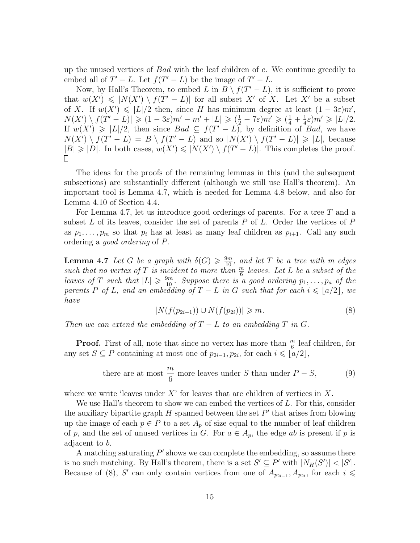up the unused vertices of *Bad* with the leaf children of *c*. We continue greedily to embed all of  $T' - L$ . Let  $f(T' - L)$  be the image of  $T' - L$ .

Now, by Hall's Theorem, to embed *L* in  $B \setminus f(T' - L)$ , it is sufficient to prove that  $w(X') \leqslant |N(X') \setminus f(T'-L)|$  for all subset X' of X. Let X' be a subset of *X*. If  $w(X') \leq |L|/2$  then, since *H* has minimum degree at least  $(1 - 3\varepsilon)m'$ ,  $N(X') \setminus f(T'-L)| \geq (1-3\varepsilon)m'-m'+|L| \geq (\frac{1}{2}-7\varepsilon)m' \geq (\frac{1}{4}+\frac{1}{4})$  $\frac{1}{4}\varepsilon$ <sup>*m'*</sup>  $\geq$   $|L|/2$ . If  $w(X') \geq |L|/2$ , then since  $Bad \subseteq f(T'-L)$ , by definition of *Bad*, we have  $N(X') \setminus f(T'-L) = B \setminus f(T'-L)$  and so  $|N(X') \setminus f(T'-L)| \geq |L|$ , because  $|B| \geq |D|$ . In both cases,  $w(X') \leq |N(X') \setminus f(T' - L)|$ . This completes the proof. П.

The ideas for the proofs of the remaining lemmas in this (and the subsequent subsections) are substantially different (although we still use Hall's theorem). An important tool is Lemma 4.7, which is needed for Lemma 4.8 below, and also for Lemma 4.10 of Section 4.4.

For Lemma 4.7, let us introduce good orderings of parents. For a tree *T* and a subset *L* of its leaves, consider the set of parents *P* of *L*. Order the vertices of *P* as  $p_1, \ldots, p_m$  so that  $p_i$  has at least as many leaf children as  $p_{i+1}$ . Call any such ordering a *good ordering* of *P*.

**Lemma 4.7** *Let G be a graph with*  $\delta(G) \geq \frac{9m}{10}$ , and let *T be a tree with m edges* such that no vertex of  $T$  is incident to more than  $\frac{m}{6}$  leaves. Let  $L$  be a subset of the *leaves of T such that*  $|L| \ge \frac{9m}{10}$ *. Suppose there is a good ordering*  $p_1, \ldots, p_a$  *of the parents*  $P$  *of*  $L$ *, and an embedding of*  $T - L$  *in*  $G$  *such that for each*  $i \leq a/2$ *, we have*

$$
|N(f(p_{2i-1})) \cup N(f(p_{2i}))| \ge m.
$$
 (8)

*Then we can extend the embedding of*  $T - L$  *to an embedding*  $T$  *in*  $G$ *.* 

**Proof.** First of all, note that since no vertex has more than  $\frac{m}{6}$  leaf children, for any set  $S \subseteq P$  containing at most one of  $p_{2i-1}, p_{2i}$ , for each  $i \leq a/2$ ,

there are at most 
$$
\frac{m}{6}
$$
 more leaves under S than under  $P - S$ , (9)

where we write 'leaves under *X*' for leaves that are children of vertices in *X*.

We use Hall's theorem to show we can embed the vertices of *L*. For this, consider the auxiliary bipartite graph *H* spanned between the set *P ′* that arises from blowing up the image of each  $p \in P$  to a set  $A_p$  of size equal to the number of leaf children of p, and the set of unused vertices in G. For  $a \in A_p$ , the edge *ab* is present if p is adjacent to *b*.

A matching saturating *P ′* shows we can complete the embedding, so assume there is no such matching. By Hall's theorem, there is a set  $S' \subseteq P'$  with  $|N_H(S')| < |S'|$ . Because of (8), *S'* can only contain vertices from one of  $A_{p_{2i-1}}, A_{p_{2i}}$ , for each  $i \leq$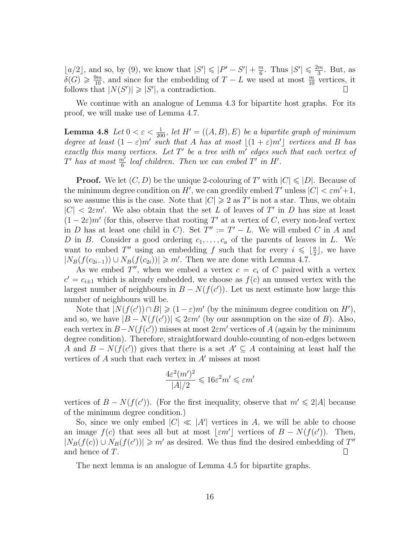$\lfloor a/2 \rfloor$ , and so, by (9), we know that  $|S'| \leq |P' - S'| + \frac{m}{6}$  $\frac{m}{6}$ . Thus  $|S'| \leq \frac{2m}{3}$  $\frac{m}{3}$ . But, as  $\delta(G) \geqslant \frac{9m}{10}$ , and since for the embedding of *T − L* we used at most  $\frac{m}{10}$  vertices, it follows that  $|N(S')| \geq |S'|$ , a contradiction.

We continue with an analogue of Lemma 4.3 for bipartite host graphs. For its proof, we will make use of Lemma 4.7.

**Lemma 4.8** *Let*  $0 < \varepsilon < \frac{1}{200}$ *, let*  $H' = ((A, B), E)$  *be a bipartite graph of minimum degree at least*  $(1 - \varepsilon)m'$  *such that A has at most*  $\lfloor (1 + \varepsilon)m' \rfloor$  *vertices and B has exactly this many vertices. Let T ′ be a tree with m′ edges such that each vertex of T*<sup> $\prime$ </sup> *has at most*  $\frac{m'}{6}$  *leaf children. Then we can embed T' in H'*.

**Proof.** We let  $(C, D)$  be the unique 2-colouring of  $T'$  with  $|C| \leqslant |D|$ . Because of the minimum degree condition on *H'*, we can greedily embed *T'* unless  $|C| < \varepsilon m' + 1$ , so we assume this is the case. Note that  $|C| \geqslant 2$  as T' is not a star. Thus, we obtain  $|C|$  < 2*εm*<sup> $\prime$ </sup>. We also obtain that the set *L* of leaves of *T*<sup> $\prime$ </sup> in *D* has size at least  $(1 - 2\varepsilon)m'$  (for this, observe that rooting T' at a vertex of C, every non-leaf vertex in *D* has at least one child in *C*). Set  $T'' := T' - L$ . We will embed *C* in *A* and *D* in *B*. Consider a good ordering  $c_1, \ldots, c_a$  of the parents of leaves in *L*. We want to embed *T''* using an embedding *f* such that for every  $i \leq \frac{a}{2}$  $\frac{a}{2}$ , we have  $|N_B(f(c_{2i-1})) \cup N_B(f(c_{2i}))| \ge m'$ . Then we are done with Lemma 4.7.

As we embed  $T''$ , when we embed a vertex  $c = c_i$  of C paired with a vertex  $c' = c_{i\pm 1}$  which is already embedded, we choose as  $f(c)$  an unused vertex with the largest number of neighbours in  $B - N(f(c'))$ . Let us next estimate how large this number of neighbours will be.

Note that  $|N(f(c')) \cap B| \geq (1 - \varepsilon)m'$  (by the minimum degree condition on *H'*), and so, we have  $|B - N(f(c'))| \leq 2\varepsilon m'$  (by our assumption on the size of *B*). Also, each vertex in  $B-N(f(c'))$  misses at most  $2\varepsilon m'$  vertices of *A* (again by the minimum degree condition). Therefore, straightforward double-counting of non-edges between *A* and  $B - N(f(c'))$  gives that there is a set  $A' \subseteq A$  containing at least half the vertices of *A* such that each vertex in *A′* misses at most

$$
\frac{4\varepsilon^2 (m')^2}{|A|/2} \leqslant 16\varepsilon^2 m' \leqslant \varepsilon m'
$$

vertices of  $B - N(f(c'))$ . (For the first inequality, observe that  $m' \leq 2|A|$  because of the minimum degree condition.)

So, since we only embed  $|C| \ll |A'|$  vertices in *A*, we will be able to choose an image  $f(c)$  that sees all but at most  $\lfloor \varepsilon m' \rfloor$  vertices of  $B - N(f(c'))$ . Then,  $|N_B(f(c)) \cup N_B(f(c'))| \geq m'$  as desired. We thus find the desired embedding of *T*<sup>*′′*</sup> and hence of *T*.  $\Box$ 

The next lemma is an analogue of Lemma 4.5 for bipartite graphs.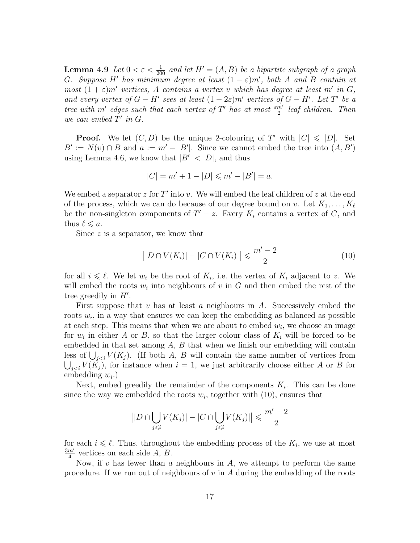**Lemma 4.9** *Let*  $0 < \varepsilon < \frac{1}{200}$  *and let*  $H' = (A, B)$  *be a bipartite subgraph of a graph G. Suppose H' has minimum degree at least*  $(1 - \varepsilon)m'$ , *both A and B contain at most*  $(1+\varepsilon)m'$  *vertices, A contains a vertex v which* has degree at least *m'* in *G*, *and every vertex of*  $G - H'$  sees at least  $(1 - 2\varepsilon)m'$  vertices of  $G - H'$ . Let  $T'$  be a *tree with m'* edges such that each vertex of  $T'$  has at most  $\frac{\varepsilon m'}{2}$  *leaf children. Then we can embed*  $T'$  *in*  $G$ *.* 

**Proof.** We let  $(C, D)$  be the unique 2-colouring of  $T'$  with  $|C| \leq |D|$ . Set  $B' := N(v) \cap B$  and  $a := m' - |B'|$ . Since we cannot embed the tree into  $(A, B')$ using Lemma 4.6, we know that  $|B'| < |D|$ , and thus

$$
|C| = m' + 1 - |D| \le m' - |B'| = a.
$$

We embed a separator *z* for *T ′* into *v*. We will embed the leaf children of *z* at the end of the process, which we can do because of our degree bound on *v*. Let  $K_1, \ldots, K_\ell$ be the non-singleton components of  $T' - z$ . Every  $K_i$  contains a vertex of  $C$ , and thus  $\ell \leq a$ .

Since z is a separator, we know that

$$
||D \cap V(K_i)| - |C \cap V(K_i)|| \leq \frac{m' - 2}{2}
$$
 (10)

for all  $i \leq \ell$ . We let  $w_i$  be the root of  $K_i$ , i.e. the vertex of  $K_i$  adjacent to *z*. We will embed the roots  $w_i$  into neighbours of  $v$  in  $G$  and then embed the rest of the tree greedily in *H′* .

First suppose that *v* has at least *a* neighbours in *A*. Successively embed the roots  $w_i$ , in a way that ensures we can keep the embedding as balanced as possible at each step. This means that when we are about to embed  $w_i$ , we choose an image for  $w_i$  in either *A* or *B*, so that the larger colour class of  $K_i$  will be forced to be embedded in that set among *A*, *B* that when we finish our embedding will contain less of  $\bigcup_{j < i} V(K_j)$ . (If both *A*, *B* will contain the same number of vertices from  $\bigcup_{j < i} V(K_j)$ , for instance when  $i = 1$ , we just arbitrarily choose either *A* or *B* for embedding *w<sup>i</sup>* .)

Next, embed greedily the remainder of the components  $K_i$ . This can be done since the way we embedded the roots  $w_i$ , together with  $(10)$ , ensures that

$$
\left| |D \cap \bigcup_{j \leq i} V(K_j)| - |C \cap \bigcup_{j \leq i} V(K_j)| \right| \leq \frac{m'-2}{2}
$$

for each  $i \leq \ell$ . Thus, throughout the embedding process of the  $K_i$ , we use at most 3*m′*  $\frac{m'}{4}$  vertices on each side A, B.

Now, if *v* has fewer than *a* neighbours in *A*, we attempt to perform the same procedure. If we run out of neighbours of *v* in *A* during the embedding of the roots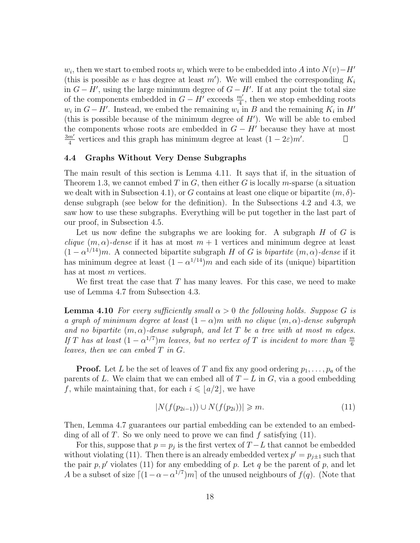*w*<sub>*i*</sub>, then we start to embed roots *w*<sub>*i*</sub> which were to be embedded into *A* into  $N(v) - H'$ (this is possible as *v* has degree at least  $m'$ ). We will embed the corresponding  $K_i$ in  $G − H'$ , using the large minimum degree of  $G − H'$ . If at any point the total size of the components embedded in  $G - H'$  exceeds  $\frac{m'}{4}$ , then we stop embedding roots  $w_i$  in  $G - H'$ . Instead, we embed the remaining  $w_i$  in  $B$  and the remaining  $K_i$  in  $H'$ (this is possible because of the minimum degree of *H′* ). We will be able to embed the components whose roots are embedded in  $G - H'$  because they have at most 3*m′*  $\frac{m'}{4}$  vertices and this graph has minimum degree at least  $(1 - 2\varepsilon)m'$ .  $\Box$ 

#### **4.4 Graphs Without Very Dense Subgraphs**

The main result of this section is Lemma 4.11. It says that if, in the situation of Theorem 1.3, we cannot embed *T* in *G*, then either *G* is locally *m*-sparse (a situation we dealt with in Subsection 4.1), or *G* contains at least one clique or bipartite (*m, δ*) dense subgraph (see below for the definition). In the Subsections 4.2 and 4.3, we saw how to use these subgraphs. Everything will be put together in the last part of our proof, in Subsection 4.5.

Let us now define the subgraphs we are looking for. A subgraph *H* of *G* is *clique*  $(m, \alpha)$ *-dense* if it has at most  $m + 1$  vertices and minimum degree at least  $(1 - \alpha^{1/14})m$ . A connected bipartite subgraph *H* of *G* is *bipartite*  $(m, \alpha)$ *-dense* if it has minimum degree at least  $(1 - \alpha^{1/14})m$  and each side of its (unique) bipartition has at most *m* vertices.

We first treat the case that *T* has many leaves. For this case, we need to make use of Lemma 4.7 from Subsection 4.3.

**Lemma 4.10** *For every sufficiently small*  $\alpha > 0$  *the following holds. Suppose G is a graph of minimum degree at least*  $(1 - \alpha)m$  *with no clique*  $(m, \alpha)$ *-dense subgraph and no bipartite*  $(m, \alpha)$ -dense subgraph, and let T be a tree with at most m edges. *If T has at least*  $(1 - \alpha^{1/7})m$  *leaves, but no vertex of T is incident to more than*  $\frac{m}{6}$ *leaves, then we can embed T in G.*

**Proof.** Let *L* be the set of leaves of *T* and fix any good ordering  $p_1, \ldots, p_a$  of the parents of *L*. We claim that we can embed all of  $T - L$  in  $G$ , via a good embedding *f*, while maintaining that, for each  $i \leq a/2$ , we have

$$
|N(f(p_{2i-1})) \cup N(f(p_{2i}))| \ge m. \tag{11}
$$

Then, Lemma 4.7 guarantees our partial embedding can be extended to an embedding of all of *T*. So we only need to prove we can find *f* satisfying (11).

For this, suppose that  $p = p_j$  is the first vertex of  $T - L$  that cannot be embedded without violating (11). Then there is an already embedded vertex  $p' = p_{j\pm 1}$  such that the pair  $p, p'$  violates (11) for any embedding of  $p$ . Let  $q$  be the parent of  $p$ , and let *A* be a subset of size  $\lceil (1 - \alpha - \alpha^{1/7})m \rceil$  of the unused neighbours of  $f(q)$ . (Note that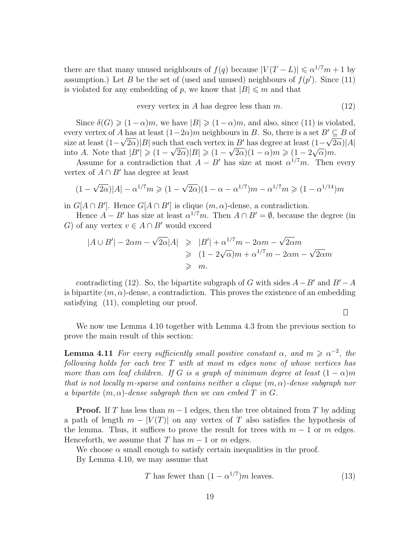there are that many unused neighbours of  $f(q)$  because  $|V(T - L)| \le \alpha^{1/7} m + 1$  by assumption.) Let *B* be the set of (used and unused) neighbours of  $f(p')$ . Since (11) is violated for any embedding of p, we know that  $|B| \leq m$  and that

every vertex in 
$$
A
$$
 has degree less than  $m$ . (12)

Since  $\delta(G) \geq (1 - \alpha)m$ , we have  $|B| \geq (1 - \alpha)m$ , and also, since (11) is violated, every vertex of *A* has at least  $(1-2\alpha)m$  neighbours in *B*. So, there is a set  $B' \subseteq B$  of size at least  $(1 - \sqrt{2\alpha})|B|$  such that each vertex in *B'* has degree at least  $(1 - \sqrt{2\alpha})|A|$ into *A*. Note that  $|B'| \geq (1 - \sqrt{2\alpha})|B| \geq (1 - \sqrt{2\alpha})(1 - \alpha)m \geq (1 - 2)$ *√ α*)*m*.

Assume for a contradiction that  $A - B'$  has size at most  $\alpha^{1/7}m$ . Then every vertex of  $A \cap B'$  has degree at least

$$
(1 - \sqrt{2\alpha})|A| - \alpha^{1/7}m \ge (1 - \sqrt{2\alpha})(1 - \alpha - \alpha^{1/7})m - \alpha^{1/7}m \ge (1 - \alpha^{1/14})m
$$

in  $G[A \cap B']$ . Hence  $G[A \cap B']$  is clique  $(m, \alpha)$ -dense, a contradiction.

Hence  $A - B'$  has size at least  $\alpha^{1/7}m$ . Then  $A \cap B' = \emptyset$ , because the degree (in *G*) of any vertex  $v \in A ∩ B'$  would exceed

$$
|A \cup B'| - 2\alpha m - \sqrt{2\alpha}|A| \ge |B'| + \alpha^{1/7}m - 2\alpha m - \sqrt{2\alpha}m
$$
  
\n
$$
\ge (1 - 2\sqrt{\alpha})m + \alpha^{1/7}m - 2\alpha m - \sqrt{2\alpha}m
$$
  
\n
$$
\ge m.
$$

contradicting (12). So, the bipartite subgraph of *G* with sides  $A - B'$  and  $B' - A$ is bipartite  $(m, \alpha)$ -dense, a contradiction. This proves the existence of an embedding satisfying (11), completing our proof.

 $\Box$ 

We now use Lemma 4.10 together with Lemma 4.3 from the previous section to prove the main result of this section:

**Lemma 4.11** *For every sufficiently small positive constant*  $\alpha$ , and  $m \ge \alpha^{-2}$ , the *following holds for each tree T with at most m edges none of whose vertices has more than*  $\alpha$ *m leaf children. If G is a graph of minimum degree at least*  $(1 - \alpha)m$ *that is not locally m-sparse and contains neither a clique* (*m, α*)*-dense subgraph nor a bipartite*  $(m, \alpha)$ -dense subgraph then we can embed  $T$  *in*  $G$ *.* 

**Proof.** If *T* has less than  $m-1$  edges, then the tree obtained from *T* by adding a path of length  $m - |V(T)|$  on any vertex of T also satisfies the hypothesis of the lemma. Thus, it suffices to prove the result for trees with  $m-1$  or  $m$  edges. Henceforth, we assume that *T* has  $m-1$  or  $m$  edges.

We choose  $\alpha$  small enough to satisfy certain inequalities in the proof. By Lemma 4.10, we may assume that

$$
T \text{ has fewer than } (1 - \alpha^{1/7})m \text{ leaves.}
$$
 (13)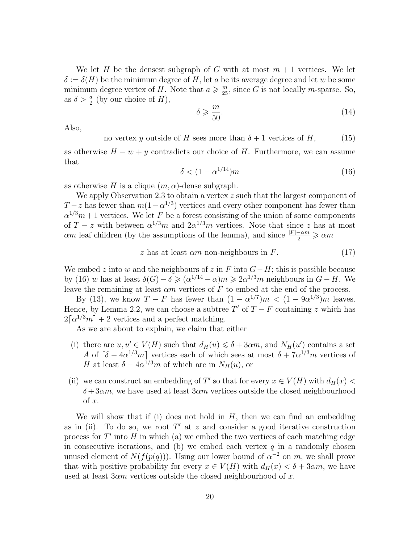We let *H* be the densest subgraph of *G* with at most  $m + 1$  vertices. We let  $\delta := \delta(H)$  be the minimum degree of *H*, let *a* be its average degree and let *w* be some minimum degree vertex of *H*. Note that  $a \geq \frac{m}{25}$ , since *G* is not locally *m*-sparse. So, as  $\delta > \frac{a}{2}$  (by our choice of *H*),

$$
\delta \geqslant \frac{m}{50}.\tag{14}
$$

Also,

no vertex *y* outside of *H* sees more than  $\delta + 1$  vertices of *H*, (15)

as otherwise *H − w* + *y* contradicts our choice of *H*. Furthermore, we can assume that

$$
\delta < (1 - \alpha^{1/14})m \tag{16}
$$

as otherwise *H* is a clique  $(m, \alpha)$ -dense subgraph.

We apply Observation 2.3 to obtain a vertex *z* such that the largest component of *T* − *z* has fewer than  $m(1 - \alpha^{1/3})$  vertices and every other component has fewer than  $\alpha^{1/3}m+1$  vertices. We let *F* be a forest consisting of the union of some components of  $T - z$  with between  $\alpha^{1/3}m$  and  $2\alpha^{1/3}m$  vertices. Note that since *z* has at most *αm* leaf children (by the assumptions of the lemma), and since  $\frac{|F| - \alpha m}{2} \geq \alpha m$ 

$$
z \text{ has at least } \alpha m \text{ non-neighbours in } F. \tag{17}
$$

We embed *z* into *w* and the neighbours of *z* in *F* into *G−H*; this is possible because by (16) *w* has at least  $\delta(G) - \delta \geqslant (\alpha^{1/14} - \alpha)m \geqslant 2\alpha^{1/3}m$  neighbours in  $G - H$ . We leave the remaining at least *αm* vertices of *F* to embed at the end of the process.

By (13), we know  $T - F$  has fewer than  $(1 - \alpha^{1/7})m < (1 - 9\alpha^{1/3})m$  leaves. Hence, by Lemma 2.2, we can choose a subtree  $T'$  of  $T - F$  containing  $z$  which has  $2\lceil \alpha^{1/3}m \rceil + 2$  vertices and a perfect matching.

As we are about to explain, we claim that either

- (i) there are  $u, u' \in V(H)$  such that  $d_H(u) \leq \delta + 3\alpha m$ , and  $N_H(u')$  contains a set *A* of  $\lceil \delta - 4\alpha^{1/3}m \rceil$  vertices each of which sees at most  $\delta + 7\alpha^{1/3}m$  vertices of *H* at least  $\delta - 4\alpha^{1/3}m$  of which are in  $N_H(u)$ , or
- (ii) we can construct an embedding of *T'* so that for every  $x \in V(H)$  with  $d_H(x)$  $\delta + 3\alpha m$ , we have used at least  $3\alpha m$  vertices outside the closed neighbourhood of *x*.

We will show that if (i) does not hold in *H*, then we can find an embedding as in (ii). To do so, we root *T ′* at *z* and consider a good iterative construction process for *T ′* into *H* in which (a) we embed the two vertices of each matching edge in consecutive iterations, and (b) we embed each vertex  $q$  in a randomly chosen unused element of  $N(f(p(q)))$ . Using our lower bound of  $\alpha^{-2}$  on *m*, we shall prove that with positive probability for every  $x \in V(H)$  with  $d_H(x) < \delta + 3\alpha m$ , we have used at least 3*αm* vertices outside the closed neighbourhood of *x*.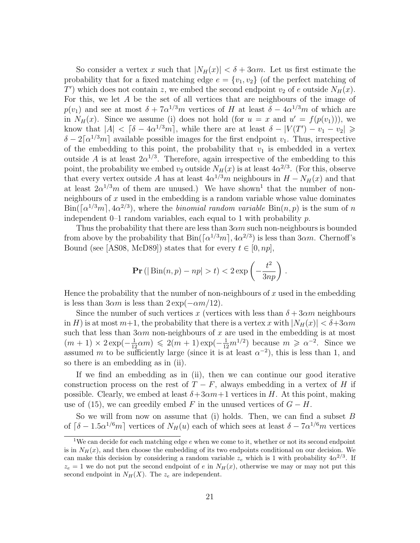So consider a vertex *x* such that  $|N_H(x)| < \delta + 3\alpha m$ . Let us first estimate the probability that for a fixed matching edge  $e = \{v_1, v_2\}$  (of the perfect matching of *T*<sup> $\prime$ </sup>) which does not contain *z*, we embed the second endpoint *v*<sub>2</sub> of *e* outside  $N_H(x)$ . For this, we let *A* be the set of all vertices that are neighbours of the image of *p*(*v*<sub>1</sub>) and see at most  $\delta + 7a^{1/3}m$  vertices of *H* at least  $\delta - 4a^{1/3}m$  of which are in  $N_H(x)$ . Since we assume (i) does not hold (for  $u = x$  and  $u' = f(p(v_1))$ ), we know that  $|A| < \lceil \delta - 4\alpha^{1/3}m \rceil$ , while there are at least  $\delta - |V(T') - v_1 - v_2| \geq$  $\delta - 2\lceil \alpha^{1/3}m \rceil$  available possible images for the first endpoint *v*<sub>1</sub>. Thus, irrespective of the embedding to this point, the probability that  $v_1$  is embedded in a vertex outside *A* is at least  $2\alpha^{1/3}$ . Therefore, again irrespective of the embedding to this point, the probability we embed  $v_2$  outside  $N_H(x)$  is at least  $4\alpha^{2/3}$ . (For this, observe that every vertex outside *A* has at least  $4\alpha^{1/3}m$  neighbours in  $H - N_H(x)$  and that at least  $2\alpha^{1/3}m$  of them are unused.) We have shown<sup>1</sup> that the number of nonneighbours of *x* used in the embedding is a random variable whose value dominates  $\text{Bin}(\lceil \alpha^{1/3}m \rceil, 4\alpha^{2/3})$ , where the *binomial random variable*  $\text{Bin}(n, p)$  is the sum of *n* independent 0–1 random variables, each equal to 1 with probability *p*.

Thus the probability that there are less than 3*αm* such non-neighbours is bounded from above by the probability that  $\text{Bin}(\lceil \alpha^{1/3}m \rceil, 4\alpha^{2/3})$  is less than  $3\alpha m$ . Chernoff's Bound (see [AS08, McD89]) states that for every  $t \in [0, np]$ ,

$$
\mathbf{Pr} \left( \left| \text{Bin}(n, p) - np \right| > t \right) < 2 \exp \left( - \frac{t^2}{3np} \right) \, .
$$

Hence the probability that the number of non-neighbours of *x* used in the embedding is less than  $3\alpha m$  is less than  $2 \exp(-\alpha m/12)$ .

Since the number of such vertices x (vertices with less than  $\delta + 3\alpha m$  neighbours in *H*) is at most  $m+1$ , the probability that there is a vertex *x* with  $|N_H(x)| < \delta + 3\alpha m$ such that less than 3*αm* non-neighbours of *x* are used in the embedding is at most  $(m + 1) \times 2 \exp(-\frac{1}{12}\alpha m) \leq 2(m + 1) \exp(-\frac{1}{12}m^{1/2})$  because  $m \geq \alpha^{-2}$ . Since we assumed *m* to be sufficiently large (since it is at least  $\alpha^{-2}$ ), this is less than 1, and so there is an embedding as in (ii).

If we find an embedding as in (ii), then we can continue our good iterative construction process on the rest of  $T - F$ , always embedding in a vertex of *H* if possible. Clearly, we embed at least  $\delta + 3\alpha m + 1$  vertices in *H*. At this point, making use of (15), we can greedily embed *F* in the unused vertices of  $G - H$ .

So we will from now on assume that (i) holds. Then, we can find a subset *B* of  $\lceil \delta - 1.5 \alpha^{1/6} m \rceil$  vertices of  $N_H(u)$  each of which sees at least  $\delta - 7 \alpha^{1/6} m$  vertices

<sup>&</sup>lt;sup>1</sup>We can decide for each matching edge *e* when we come to it, whether or not its second endpoint is in  $N<sub>H</sub>(x)$ , and then choose the embedding of its two endpoints conditional on our decision. We can make this decision by considering a random variable  $z_e$  which is 1 with probability  $4\alpha^{2/3}$ . If  $z_e = 1$  we do not put the second endpoint of *e* in  $N_H(x)$ , otherwise we may or may not put this second endpoint in  $N_H(X)$ . The  $z_e$  are independent.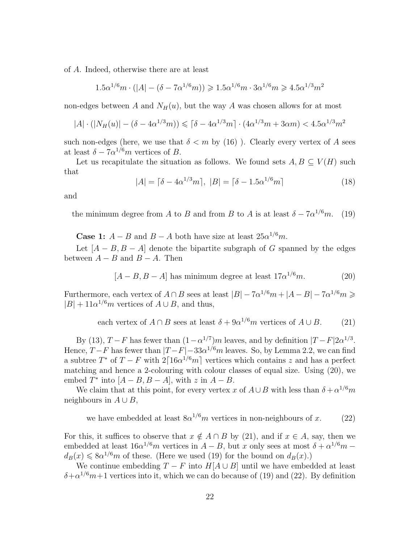of *A*. Indeed, otherwise there are at least

$$
1.5\alpha^{1/6}m \cdot (|A| - (\delta - 7\alpha^{1/6}m)) \geq 1.5\alpha^{1/6}m \cdot 3\alpha^{1/6}m \geq 4.5\alpha^{1/3}m^2
$$

non-edges between *A* and  $N_H(u)$ , but the way *A* was chosen allows for at most

$$
|A| \cdot (|N_H(u)| - (\delta - 4\alpha^{1/3}m)) \leq |\delta - 4\alpha^{1/3}m| \cdot (4\alpha^{1/3}m + 3\alpha m) < 4.5\alpha^{1/3}m^2
$$

such non-edges (here, we use that  $\delta < m$  by (16)). Clearly every vertex of A sees at least  $\delta - 7\alpha^{1/6}m$  vertices of *B*.

Let us recapitulate the situation as follows. We found sets  $A, B \subseteq V(H)$  such that

$$
|A| = \lceil \delta - 4\alpha^{1/3} m \rceil, \ |B| = \lceil \delta - 1.5\alpha^{1/6} m \rceil \tag{18}
$$

and

the minimum degree from *A* to *B* and from *B* to *A* is at least  $\delta - 7\alpha^{1/6}m$ . (19)

**Case 1:**  $A - B$  and  $B - A$  both have size at least  $25\alpha^{1/6}m$ .

Let  $[A - B, B - A]$  denote the bipartite subgraph of *G* spanned by the edges between  $A - B$  and  $B - A$ . Then

$$
[A - B, B - A]
$$
 has minimum degree at least  $17\alpha^{1/6}m$ . (20)

Furthermore, each vertex of  $A \cap B$  sees at least  $|B| - 7\alpha^{1/6}m + |A - B| - 7\alpha^{1/6}m \geqslant$  $|B| + 11\alpha^{1/6}m$  vertices of  $A \cup B$ , and thus,

each vertex of  $A \cap B$  sees at least  $\delta + 9\alpha^{1/6}m$  vertices of  $A \cup B$ . (21)

By (13),  $T - F$  has fewer than  $(1 - \alpha^{1/7})m$  leaves, and by definition  $|T - F|2\alpha^{1/3}$ . Hence,  $T - F$  has fewer than  $|T - F| - 33\alpha^{1/6}m$  leaves. So, by Lemma 2.2, we can find a subtree  $T^*$  of  $T - F$  with  $2 \lceil 16\alpha^{1/6}m \rceil$  vertices which contains *z* and has a perfect matching and hence a 2-colouring with colour classes of equal size. Using (20), we embed  $T^*$  into  $[A - B, B - A]$ , with  $z$  in  $A - B$ .

We claim that at this point, for every vertex *x* of  $A \cup B$  with less than  $\delta + \alpha^{1/6}m$ neighbours in  $A \cup B$ ,

we have embedded at least  $8\alpha^{1/6}m$  vertices in non-neighbours of *x*. (22)

For this, it suffices to observe that  $x \notin A \cap B$  by (21), and if  $x \in A$ , say, then we embedded at least  $16a^{1/6}m$  vertices in  $A - B$ , but *x* only sees at most  $\delta + \alpha^{1/6}m$  $d_B(x) \leq 8\alpha^{1/6}m$  of these. (Here we used (19) for the bound on  $d_B(x)$ .)

We continue embedding  $T - F$  into  $H[A \cup B]$  until we have embedded at least  $\delta + \alpha^{1/6}m + 1$  vertices into it, which we can do because of (19) and (22). By definition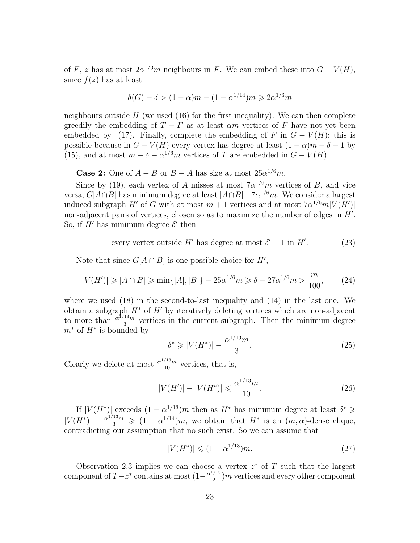of *F*, *z* has at most  $2\alpha^{1/3}m$  neighbours in *F*. We can embed these into  $G - V(H)$ , since  $f(z)$  has at least

$$
\delta(G) - \delta > (1 - \alpha)m - (1 - \alpha^{1/14})m \ge 2\alpha^{1/3}m
$$

neighbours outside  $H$  (we used  $(16)$  for the first inequality). We can then complete greedily the embedding of  $T - F$  as at least  $\alpha m$  vertices of  $F$  have not yet been embedded by (17). Finally, complete the embedding of *F* in  $G - V(H)$ ; this is possible because in  $G - V(H)$  every vertex has degree at least  $(1 - \alpha)m - \delta - 1$  by (15), and at most  $m - \delta - \alpha^{1/6}m$  vertices of *T* are embedded in  $G - V(H)$ .

**Case 2:** One of  $A - B$  or  $B - A$  has size at most  $25\alpha^{1/6}m$ .

Since by (19), each vertex of *A* misses at most  $7\alpha^{1/6}m$  vertices of *B*, and vice versa, *G*[*A∩B*] has minimum degree at least *|A∩B|−*7*α* <sup>1</sup>*/*<sup>6</sup>*m*. We consider a largest induced subgraph *H<sup>'</sup>* of *G* with at most  $m + 1$  vertices and at most  $7\alpha^{1/6}m|V(H')|$ non-adjacent pairs of vertices, chosen so as to maximize the number of edges in *H′* . So, if  $H'$  has minimum degree  $\delta'$  then

every vertex outside 
$$
H'
$$
 has degree at most  $\delta' + 1$  in  $H'$ . (23)

Note that since  $G[A \cap B]$  is one possible choice for  $H'$ ,

$$
|V(H')| \geq |A \cap B| \geq \min\{|A|, |B|\} - 25\alpha^{1/6}m \geq \delta - 27\alpha^{1/6}m > \frac{m}{100},\tag{24}
$$

where we used (18) in the second-to-last inequality and (14) in the last one. We obtain a subgraph *H<sup>∗</sup>* of *H′* by iteratively deleting vertices which are non-adjacent to more than  $\frac{\alpha^{1/13}m}{3}$  $rac{13m}{3}$  vertices in the current subgraph. Then the minimum degree *m<sup>∗</sup>* of *H<sup>∗</sup>* is bounded by

$$
\delta^* \ge |V(H^*)| - \frac{\alpha^{1/13}m}{3}.\tag{25}
$$

Clearly we delete at most  $\frac{\alpha^{1/13}m}{10}$  vertices, that is,

$$
|V(H')| - |V(H^*)| \leq \frac{\alpha^{1/13}m}{10}.\tag{26}
$$

If  $|V(H^*)|$  exceeds  $(1 - \alpha^{1/13})m$  then as  $H^*$  has minimum degree at least  $\delta^* \geq$  $|V(H^*)| - \frac{\alpha^{1/13}m}{3} \geqslant (1 - \alpha^{1/14})m$ , we obtain that  $H^*$  is an  $(m, \alpha)$ -dense clique, contradicting our assumption that no such exist. So we can assume that

$$
|V(H^*)| \leq (1 - \alpha^{1/13})m. \tag{27}
$$

Observation 2.3 implies we can choose a vertex *z <sup>∗</sup>* of *T* such that the largest component of  $T-z^*$  contains at most  $\left(1-\frac{\alpha^{1/13}}{2}\right)$  $\frac{1}{2}$ )*m* vertices and every other component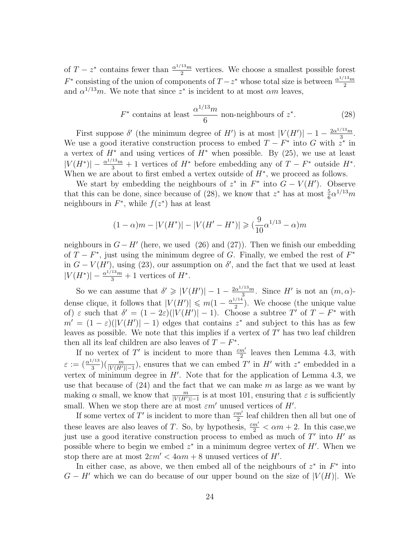of  $T - z^*$  contains fewer than  $\frac{\alpha^{1/13}m}{2}$  $\frac{15m}{2}$  vertices. We choose a smallest possible forest *F*<sup>\*</sup> consisting of the union of components of  $T - z^*$  whose total size is between  $\frac{\alpha^{1/13}m}{2}$ 2 and  $\alpha^{1/13}m$ . We note that since  $z^*$  is incident to at most  $\alpha m$  leaves,

$$
F^*
$$
 contains at least  $\frac{\alpha^{1/13}m}{6}$  non-neighbors of  $z^*$ . (28)

First suppose  $\delta'$  (the minimum degree of *H'*) is at most  $|V(H')| - 1 - \frac{2\alpha^{1/13}m}{3}$  $rac{15m}{3}$ . We use a good iterative construction process to embed  $T - F^*$  into  $G$  with  $z^*$  in a vertex of  $H^*$  and using vertices of  $H^*$  when possible. By (25), we use at least  $|V(H^*)| - \frac{\alpha^{1/13}m}{3} + 1$  vertices of *H*<sup>\*</sup> before embedding any of *T − F*<sup>\*</sup> outside *H*<sup>\*</sup>. When we are about to first embed a vertex outside of *H<sup>∗</sup>* , we proceed as follows.

We start by embedding the neighbours of  $z^*$  in  $F^*$  into  $G - V(H')$ . Observe that this can be done, since because of (28), we know that  $z^*$  has at most  $\frac{5}{6} \alpha^{1/13} m$ neighbours in  $F^*$ , while  $f(z^*)$  has at least

$$
(1 - \alpha)m - |V(H^*)| - |V(H' - H^*)| \ge (\frac{9}{10}\alpha^{1/13} - \alpha)m
$$

neighbours in  $G - H'$  (here, we used (26) and (27)). Then we finish our embedding of *T − F ∗* , just using the minimum degree of *G*. Finally, we embed the rest of *F ∗* in  $G - V(H')$ , using (23), our assumption on  $\delta'$ , and the fact that we used at least  $|V(H^*)| - \frac{\alpha^{1/13}m}{3} + 1$  vertices of  $H^*$ .

So we can assume that  $\delta' \geq |V(H')| - 1 - \frac{2\alpha^{1/13}m}{3}$  $\frac{m}{3}$ . Since *H'* is not an  $(m, \alpha)$ dense clique, it follows that  $|V(H')| \leq m(1 - \frac{\alpha^{1/14}}{2})$  $\frac{1}{2}$ ). We choose (the unique value of)  $\varepsilon$  such that  $\delta' = (1 - 2\varepsilon)(|V(H')| - 1)$ . Choose a subtree T' of  $T - F^*$  with  $m' = (1 - \varepsilon)(|V(H')| - 1)$  edges that contains  $z^*$  and subject to this has as few leaves as possible. We note that this implies if a vertex of *T ′* has two leaf children then all its leaf children are also leaves of  $T - F^*$ .

If no vertex of  $T'$  is incident to more than  $\frac{\varepsilon m'}{2}$  leaves then Lemma 4.3, with  $\varepsilon := (\frac{\alpha^{1/13}}{3})$  $\frac{m}{3}$ )( $\frac{m}{|V(H')|-1}$ ), ensures that we can embed *T'* in *H'* with *z*<sup>\*</sup> embedded in a vertex of minimum degree in *H′* . Note that for the application of Lemma 4.3, we use that because of (24) and the fact that we can make *m* as large as we want by making  $\alpha$  small, we know that  $\frac{m}{|V(H')|-1}$  is at most 101, ensuring that  $\varepsilon$  is sufficiently small. When we stop there are at most *εm′* unused vertices of *H′* .

If some vertex of  $T'$  is incident to more than  $\frac{\varepsilon m'}{2}$  leaf children then all but one of these leaves are also leaves of *T*. So, by hypothesis,  $\frac{\varepsilon m'}{2} < \alpha m + 2$ . In this case, we just use a good iterative construction process to embed as much of *T ′* into *H′* as possible where to begin we embed  $z^*$  in a minimum degree vertex of  $H'$ . When we stop there are at most  $2\varepsilon m' < 4\alpha m + 8$  unused vertices of *H'*.

In either case, as above, we then embed all of the neighbours of  $z^*$  in  $F^*$  into  $G - H'$  which we can do because of our upper bound on the size of  $|V(H)|$ . We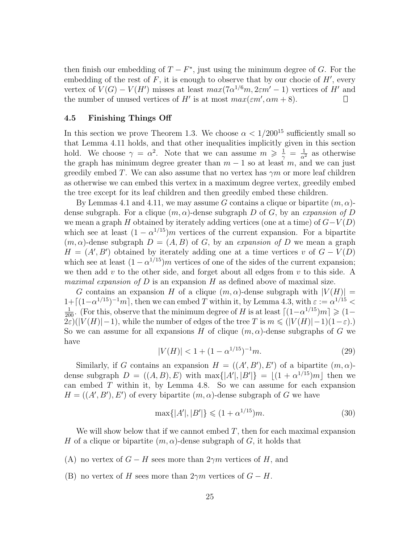then finish our embedding of  $T - F^*$ , just using the minimum degree of *G*. For the embedding of the rest of *F*, it is enough to observe that by our chocie of *H′* , every vertex of  $V(G) - V(H')$  misses at least  $max(7\alpha^{1/6}m, 2\epsilon m' - 1)$  vertices of *H'* and the number of unused vertices of *H'* is at most  $max(\varepsilon m', \alpha m + 8)$ .  $\Box$ 

#### **4.5 Finishing Things Off**

In this section we prove Theorem 1.3. We choose  $\alpha < 1/200^{15}$  sufficiently small so that Lemma 4.11 holds, and that other inequalities implicitly given in this section hold. We choose  $\gamma = \alpha^2$ . Note that we can assume  $m \geq \frac{1}{\gamma} = \frac{1}{\alpha^2}$  as otherwise the graph has minimum degree greater than  $m-1$  so at least  $m$ , and we can just greedily embed *T*. We can also assume that no vertex has  $\gamma m$  or more leaf children as otherwise we can embed this vertex in a maximum degree vertex, greedily embed the tree except for its leaf children and then greedily embed these children.

By Lemmas 4.1 and 4.11, we may assume *G* contains a clique or bipartite (*m, α*) dense subgraph. For a clique (*m, α*)-dense subgraph *D* of *G*, by an *expansion of D* we mean a graph *H* obtained by iterately adding vertices (one at a time) of *G−V* (*D*) which see at least  $(1 - \alpha^{1/15})m$  vertices of the current expansion. For a bipartite  $(m, \alpha)$ -dense subgraph  $D = (A, B)$  of *G*, by an *expansion of D* we mean a graph  $H = (A', B')$  obtained by iterately adding one at a time vertices *v* of  $G - V(D)$ which see at least  $(1 - \alpha^{1/15})m$  vertices of one of the sides of the current expansion; we then add *v* to the other side, and forget about all edges from *v* to this side. A *maximal expansion of D* is an expansion *H* as defined above of maximal size.

*G* contains an expansion *H* of a clique  $(m, \alpha)$ -dense subgraph with  $|V(H)| =$  $1+[(1-\alpha^{1/15})^{-1}m]$ , then we can embed *T* within it, by Lemma 4.3, with  $\varepsilon := \alpha^{1/15}$  $\frac{1}{200}$ . (For this, observe that the minimum degree of *H* is at least  $\lceil (1 - \alpha^{1/15})m \rceil \geq 1 - \frac{1}{200}$  $2\varepsilon$ )( $|V(H)|-1$ ), while the number of edges of the tree *T* is  $m \leq (|V(H)|-1)(1-\varepsilon)$ .) So we can assume for all expansions *H* of clique  $(m, \alpha)$ -dense subgraphs of *G* we have

$$
|V(H)| < 1 + (1 - \alpha^{1/15})^{-1}m. \tag{29}
$$

Similarly, if *G* contains an expansion  $H = ((A', B'), E')$  of a bipartite  $(m, \alpha)$ dense subgraph  $D = ((A, B), E)$  with  $\max\{|A'|, |B'|\} = \lfloor (1 + \alpha^{1/15})m \rfloor$  then we can embed *T* within it, by Lemma 4.8. So we can assume for each expansion  $H = ((A', B'), E')$  of every bipartite  $(m, \alpha)$ -dense subgraph of *G* we have

$$
\max\{|A'|, |B'|\} \leq (1 + \alpha^{1/15})m. \tag{30}
$$

We will show below that if we cannot embed  $T$ , then for each maximal expansion *H* of a clique or bipartite  $(m, \alpha)$ -dense subgraph of *G*, it holds that

- (A) no vertex of  $G H$  sees more than  $2\gamma m$  vertices of *H*, and
- (B) no vertex of *H* sees more than  $2\gamma m$  vertices of  $G H$ .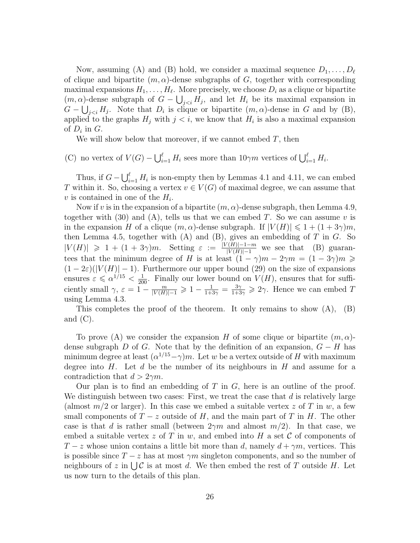Now, assuming (A) and (B) hold, we consider a maximal sequence  $D_1, \ldots, D_\ell$ of clique and bipartite  $(m, \alpha)$ -dense subgraphs of *G*, together with corresponding maximal expansions  $H_1, \ldots, H_\ell$ . More precisely, we choose  $D_i$  as a clique or bipartite  $(m, \alpha)$ -dense subgraph of  $G - \bigcup_{j < i} H_j$ , and let  $H_i$  be its maximal expansion in  $G - \bigcup_{j < i} H_j$ . Note that  $D_i$  is clique or bipartite  $(m, \alpha)$ -dense in *G* and by (B), applied to the graphs  $H_j$  with  $j < i$ , we know that  $H_i$  is also a maximal expansion of  $D_i$  in  $G$ .

We will show below that moreover, if we cannot embed *T*, then

(C) no vertex of  $V(G) - \bigcup_{i=1}^{\ell} H_i$  sees more than  $10\gamma m$  vertices of  $\bigcup_{i=1}^{\ell} H_i$ .

Thus, if  $G - \bigcup_{i=1}^{\ell} H_i$  is non-empty then by Lemmas 4.1 and 4.11, we can embed *T* within it. So, choosing a vertex  $v \in V(G)$  of maximal degree, we can assume that  $v$  is contained in one of the  $H_i$ .

Now if *v* is in the expansion of a bipartite  $(m, \alpha)$ -dense subgraph, then Lemma 4.9, together with  $(30)$  and  $(A)$ , tells us that we can embed *T*. So we can assume *v* is in the expansion *H* of a clique  $(m, \alpha)$ -dense subgraph. If  $|V(H)| \leq 1 + (1 + 3\gamma)m$ , then Lemma 4.5, together with (A) and (B), gives an embedding of *T* in *G*. So  $|V(H)| \geq 1 + (1 + 3\gamma)m$ . Setting  $\varepsilon := \frac{|V(H)| - 1 - m}{|V(H)| - 1}$  we see that (B) guarantees that the minimum degree of *H* is at least  $(1 - \gamma)m - 2\gamma m = (1 - 3\gamma)m$  $(1-2\varepsilon)(|V(H)|-1)$ . Furthermore our upper bound (29) on the size of expansions ensures  $\varepsilon \leq \alpha^{1/15} < \frac{1}{200}$ . Finally our lower bound on  $V(H)$ , ensures that for sufficiently small  $\gamma$ ,  $\varepsilon = 1 - \frac{m}{|V(H)|-1} \geq 1 - \frac{1}{1+3\gamma} = \frac{3\gamma}{1+3\gamma} \geq 2\gamma$ . Hence we can embed *T* using Lemma 4.3.

This completes the proof of the theorem. It only remains to show  $(A)$ ,  $(B)$ and  $(C)$ .

To prove (A) we consider the expansion *H* of some clique or bipartite (*m, α*) dense subgraph *D* of *G*. Note that by the definition of an expansion,  $G - H$  has minimum degree at least  $(\alpha^{1/15} - \gamma)m$ . Let *w* be a vertex outside of *H* with maximum degree into *H*. Let *d* be the number of its neighbours in *H* and assume for a contradiction that  $d > 2\gamma m$ .

Our plan is to find an embedding of *T* in *G*, here is an outline of the proof. We distinguish between two cases: First, we treat the case that *d* is relatively large (almost  $m/2$  or larger). In this case we embed a suitable vertex  $z$  of  $T$  in  $w$ , a few small components of  $T-z$  outside of  $H$ , and the main part of  $T$  in  $H$ . The other case is that *d* is rather small (between  $2\gamma m$  and almost  $m/2$ ). In that case, we embed a suitable vertex *z* of *T* in *w*, and embed into *H* a set *C* of components of *T* − *z* whose union contains a little bit more than *d*, namely  $d + \gamma m$ , vertices. This is possible since  $T - z$  has at most  $\gamma m$  singleton components, and so the number of neighbours of  $z$  in  $\bigcup \mathcal{C}$  is at most *d*. We then embed the rest of  $T$  outside  $H$ . Let us now turn to the details of this plan.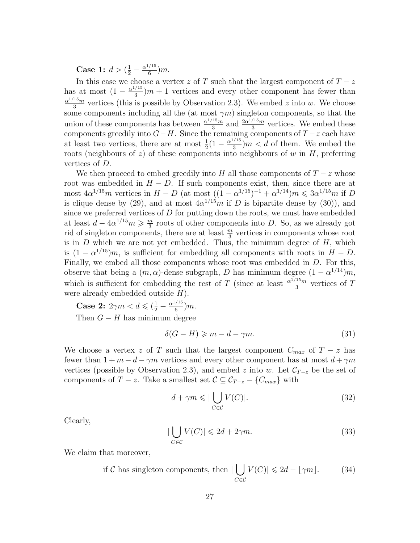**Case 1:**  $d > (\frac{1}{2} - \frac{\alpha^{1/15}}{6})$  $\frac{1}{6}$ )*m*.

In this case we choose a vertex  $z$  of  $T$  such that the largest component of  $T - z$ has at most  $\left(1 - \frac{\alpha^{1/15}}{3}\right)$  $\frac{\sqrt{13}}{3}$ ) $m + 1$  vertices and every other component has fewer than *α* <sup>1</sup>*/*15*m*  $\frac{15}{3}$  vertices (this is possible by Observation 2.3). We embed *z* into *w*. We choose some components including all the (at most  $\gamma m$ ) singleton components, so that the union of these components has between  $\frac{\alpha^{1/15}m}{3}$  $rac{15m}{3}$  and  $rac{2a^{1/15}m}{3}$  $\frac{\sqrt{13}m}{3}$  vertices. We embed these components greedily into *G−H*. Since the remaining components of *T −z* each have at least two vertices, there are at most  $\frac{1}{2}(1 - \frac{\alpha^{1/15}}{3})$  $\frac{3}{3}$ )*m* < *d* of them. We embed the roots (neighbours of *z*) of these components into neighbours of *w* in *H*, preferring vertices of *D*.

We then proceed to embed greedily into *H* all those components of  $T-z$  whose root was embedded in  $H - D$ . If such components exist, then, since there are at most  $4\alpha^{1/15}m$  vertices in  $H - D$  (at most  $((1 - \alpha^{1/15})^{-1} + \alpha^{1/14})m \leqslant 3\alpha^{1/15}m$  if *D* is clique dense by (29), and at most  $4\alpha^{1/15}m$  if *D* is bipartite dense by (30)), and since we preferred vertices of *D* for putting down the roots, we must have embedded at least  $d - 4\alpha^{1/15}m \geqslant \frac{m}{3}$  $\frac{m}{3}$  roots of other components into *D*. So, as we already got rid of singleton components, there are at least  $\frac{m}{3}$  vertices in components whose root is in *D* which we are not yet embedded. Thus, the minimum degree of *H*, which is  $(1 - \alpha^{1/15})m$ , is sufficient for embedding all components with roots in  $H - D$ . Finally, we embed all those components whose root was embedded in *D*. For this, observe that being a  $(m, \alpha)$ -dense subgraph, *D* has minimum degree  $(1 - \alpha^{1/14})m$ , which is sufficient for embedding the rest of *T* (since at least  $\frac{\alpha^{1/15}m}{3}$  $rac{15m}{3}$  vertices of *T* were already embedded outside *H*).

**Case 2:**  $2\gamma m < d \leq (\frac{1}{2} - \frac{\alpha^{1/15}}{6})$  $\frac{1}{6}$ )*m*. Then  $G - H$  has minimum degree

$$
\delta(G - H) \geqslant m - d - \gamma m. \tag{31}
$$

We choose a vertex *z* of *T* such that the largest component  $C_{max}$  of  $T - z$  has fewer than  $1 + m - d - \gamma m$  vertices and every other component has at most  $d + \gamma m$ vertices (possible by Observation 2.3), and embed *z* into *w*. Let  $\mathcal{C}_{T-z}$  be the set of components of *T* − *z*. Take a smallest set  $C \subseteq C_{T-z} - \{C_{max}\}\$  with

$$
d + \gamma m \leqslant |\bigcup_{C \in \mathcal{C}} V(C)|. \tag{32}
$$

Clearly,

$$
|\bigcup_{C \in \mathcal{C}} V(C)| \leq 2d + 2\gamma m. \tag{33}
$$

We claim that moreover,

if *C* has singleton components, then 
$$
|\bigcup_{C \in \mathcal{C}} V(C)| \leq 2d - \lfloor \gamma m \rfloor. \tag{34}
$$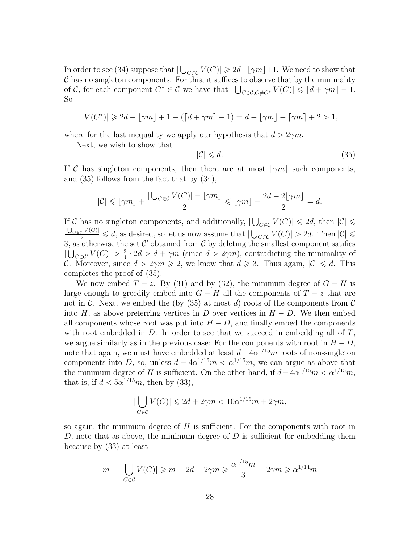In order to see (34) suppose that  $|\bigcup_{C \in \mathcal{C}} V(C)| \geq 2d - |\gamma m| + 1$ . We need to show that *C* has no singleton components. For this, it suffices to observe that by the minimality of *C*, for each component  $C^* \in \mathcal{C}$  we have that  $|\bigcup_{C \in \mathcal{C}, C \neq C^*} V(C)| \leq \lceil d + \gamma m \rceil - 1$ . So

$$
|V(C^*)| \geq 2d - \lfloor \gamma m \rfloor + 1 - (\lceil d + \gamma m \rceil - 1) = d - \lfloor \gamma m \rfloor - \lceil \gamma m \rceil + 2 > 1,
$$

where for the last inequality we apply our hypothesis that  $d > 2\gamma m$ .

Next, we wish to show that

$$
|\mathcal{C}| \leqslant d. \tag{35}
$$

If *C* has singleton components, then there are at most  $|\gamma m|$  such components, and (35) follows from the fact that by (34),

$$
|\mathcal{C}| \leqslant \lfloor \gamma m \rfloor + \frac{|\bigcup_{C \in \mathcal{C}} V(C)| - \lfloor \gamma m \rfloor}{2} \leqslant \lfloor \gamma m \rfloor + \frac{2d - 2 \lfloor \gamma m \rfloor}{2} = d.
$$

If *C* has no singleton components, and additionally,  $|\bigcup_{C \in \mathcal{C}} V(C)| \leq 2d$ , then  $|\mathcal{C}| \leq$  $\frac{|U_{C \in \mathcal{C}} V(C)|}{2}$  ≤ *d*, as desired, so let us now assume that  $|\bigcup_{C \in \mathcal{C}} V(C)| > 2d$ . Then  $|\mathcal{C}|$  ≤ 3, as otherwise the set  $\mathcal{C}'$  obtained from  $\mathcal{C}$  by deleting the smallest component satifies  $|U_{C∈C'}$   $V(C)| > \frac{3}{4}$  $\frac{3}{4} \cdot 2d > d + \gamma m$  (since  $d > 2\gamma m$ ), contradicting the minimality of *C*. Moreover, since  $d > 2\gamma m \geqslant 2$ , we know that  $d \geqslant 3$ . Thus again,  $|\mathcal{C}| \leqslant d$ . This completes the proof of (35).

We now embed  $T - z$ . By (31) and by (32), the minimum degree of  $G - H$  is large enough to greedily embed into  $G - H$  all the components of  $T - z$  that are not in C. Next, we embed the (by  $(35)$  at most d) roots of the components from C into  $H$ , as above preferring vertices in  $D$  over vertices in  $H - D$ . We then embed all components whose root was put into  $H - D$ , and finally embed the components with root embedded in *D*. In order to see that we succeed in embedding all of *T*, we argue similarly as in the previous case: For the components with root in  $H - D$ , note that again, we must have embedded at least  $d - 4\alpha^{1/15}m$  roots of non-singleton components into *D*, so, unless  $d - 4\alpha^{1/15}m < \alpha^{1/15}m$ , we can argue as above that the minimum degree of *H* is sufficient. On the other hand, if  $d - 4\alpha^{1/15}m < \alpha^{1/15}m$ , that is, if  $d < 5\alpha^{1/15}m$ , then by (33),

$$
|\bigcup_{C \in \mathcal{C}} V(C)| \leq 2d + 2\gamma m < 10\alpha^{1/15} m + 2\gamma m,
$$

so again, the minimum degree of *H* is sufficient. For the components with root in *D*, note that as above, the minimum degree of *D* is sufficient for embedding them because by (33) at least

$$
m - |\bigcup_{C \in \mathcal{C}} V(C)| \ge m - 2d - 2\gamma m \ge \frac{\alpha^{1/15} m}{3} - 2\gamma m \ge \alpha^{1/14} m
$$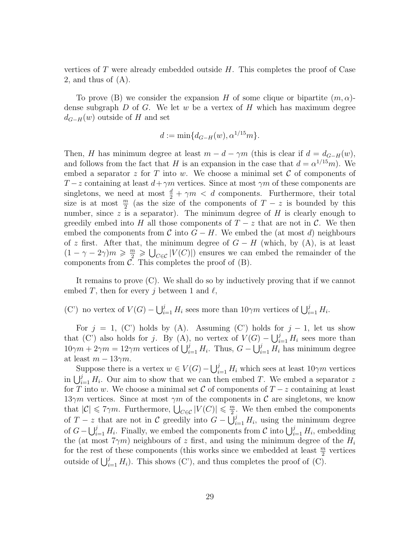vertices of *T* were already embedded outside *H*. This completes the proof of Case 2, and thus of (A).

To prove (B) we consider the expansion *H* of some clique or bipartite (*m, α*) dense subgraph *D* of *G*. We let *w* be a vertex of *H* which has maximum degree  $d_{G-H}(w)$  outside of *H* and set

$$
d := \min\{d_{G-H}(w), \alpha^{1/15}m\}.
$$

Then, *H* has minimum degree at least  $m - d - \gamma m$  (this is clear if  $d = d_{G-H}(w)$ , and follows from the fact that *H* is an expansion in the case that  $d = \alpha^{1/15}m$ ). We embed a separator  $z$  for  $T$  into  $w$ . We choose a minimal set  $C$  of components of *T* − *z* containing at least *d* + *γm* vertices. Since at most *γm* of these components are singletons, we need at most  $\frac{d}{2} + \gamma m < d$  components. Furthermore, their total size is at most  $\frac{m}{2}$  (as the size of the components of  $T - z$  is bounded by this number, since *z* is a separator). The minimum degree of *H* is clearly enough to greedily embed into *H* all those components of  $T-z$  that are not in  $\mathcal{C}$ . We then embed the components from  $C$  into  $G - H$ . We embed the (at most *d*) neighbours of *z* first. After that, the minimum degree of *G − H* (which, by (A), is at least  $(1 - \gamma - 2\gamma)m \geq \frac{m}{2} \geq U_{C \in \mathcal{C}} |V(C)|$  ensures we can embed the remainder of the components from  $C$ . This completes the proof of  $(B)$ .

It remains to prove (C). We shall do so by inductively proving that if we cannot embed  $T$ , then for every  $j$  between 1 and  $\ell$ ,

(C') no vertex of  $V(G) - \bigcup_{i=1}^{j} H_i$  sees more than  $10\gamma m$  vertices of  $\bigcup_{i=1}^{j} H_i$ .

For  $j = 1$ , (C') holds by (A). Assuming (C') holds for  $j - 1$ , let us show that  $(C')$  also holds for *j*. By  $(A)$ , no vertex of  $V(G) - \bigcup_{i=1}^{j} H_i$  sees more than  $10\gamma m + 2\gamma m = 12\gamma m$  vertices of  $\bigcup_{i=1}^{j} H_i$ . Thus,  $G - \bigcup_{i=1}^{j} H_i$  has minimum degree at least  $m - 13\gamma m$ .

Suppose there is a vertex  $w \in V(G) - \bigcup_{i=1}^{j} H_i$  which sees at least  $10\gamma m$  vertices in  $\bigcup_{i=1}^{j} H_i$ . Our aim to show that we can then embed *T*. We embed a separator *z* for *T* into *w*. We choose a minimal set *C* of components of  $T-z$  containing at least  $13\gamma m$  vertices. Since at most  $\gamma m$  of the components in C are singletons, we know that  $|\mathcal{C}| \leq 7\gamma m$ . Furthermore,  $\bigcup_{C \in \mathcal{C}} |V(C)| \leq \frac{m}{2}$  $\frac{m}{2}$ . We then embed the components of *T* − *z* that are not in *C* greedily into  $G - \bigcup_{i=1}^{j} H_i$ , using the minimum degree of  $G - \bigcup_{i=1}^{j} H_i$ . Finally, we embed the components from  $\mathcal{C}$  into  $\bigcup_{i=1}^{j} H_i$ , embedding the (at most  $7\gamma m$ ) neighbours of *z* first, and using the minimum degree of the  $H_i$ for the rest of these components (this works since we embedded at least  $\frac{m}{2}$  vertices outside of  $\bigcup_{i=1}^{j} H_i$ . This shows (C'), and thus completes the proof of (C).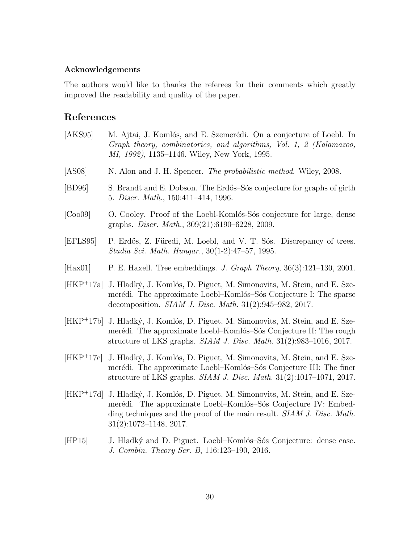### **Acknowledgements**

The authors would like to thanks the referees for their comments which greatly improved the readability and quality of the paper.

# **References**

| [AKS95]              | M. Ajtai, J. Komlós, and E. Szemerédi. On a conjecture of Loebl. In<br>Graph theory, combinatorics, and algorithms, Vol. 1, 2 (Kalamazoo,<br>MI, 1992), 1135–1146. Wiley, New York, 1995.                                                              |
|----------------------|--------------------------------------------------------------------------------------------------------------------------------------------------------------------------------------------------------------------------------------------------------|
| [ASS08]              | N. Alon and J. H. Spencer. <i>The probabilistic method</i> . Wiley, 2008.                                                                                                                                                                              |
| [BD96]               | S. Brandt and E. Dobson. The Erdős-Sós conjecture for graphs of girth<br>5. Discr. Math., 150:411-414, 1996.                                                                                                                                           |
| [Co <sub>0</sub> 09] | O. Cooley. Proof of the Loebl-Komlós-Sós conjecture for large, dense<br>graphs. <i>Discr. Math.</i> , 309(21):6190–6228, 2009.                                                                                                                         |
| [EFLS95]             | P. Erdős, Z. Füredi, M. Loebl, and V. T. Sós. Discrepancy of trees.<br>Studia Sci. Math. Hungar., 30(1-2):47–57, 1995.                                                                                                                                 |
| [Hax01]              | P. E. Haxell. Tree embeddings. J. Graph Theory, $36(3):121-130$ , $2001$ .                                                                                                                                                                             |
|                      | [HKP <sup>+</sup> 17a] J. Hladký, J. Komlós, D. Piguet, M. Simonovits, M. Stein, and E. Sze-<br>merédi. The approximate Loebl-Komlós-Sós Conjecture I: The sparse<br>decomposition. <i>SIAM J. Disc. Math.</i> $31(2):945-982$ , $2017$ .              |
|                      | [HKP <sup>+</sup> 17b] J. Hladký, J. Komlós, D. Piguet, M. Simonovits, M. Stein, and E. Sze-<br>merédi. The approximate Loebl-Komlós-Sós Conjecture II: The rough<br>structure of LKS graphs. $SIAM J. Disc. Math. 31(2):983-1016, 2017.$              |
|                      | [HKP <sup>+</sup> 17c] J. Hladký, J. Komlós, D. Piguet, M. Simonovits, M. Stein, and E. Sze-<br>merédi. The approximate Loebl-Komlós-Sós Conjecture III: The finer<br>structure of LKS graphs. <i>SIAM J. Disc. Math.</i> $31(2):1017-1071$ , $2017$ . |
|                      |                                                                                                                                                                                                                                                        |

- [HKP+17d] J. Hladký, J. Komlós, D. Piguet, M. Simonovits, M. Stein, and E. Szemerédi. The approximate Loebl–Komlós–Sós Conjecture IV: Embedding techniques and the proof of the main result. *SIAM J. Disc. Math.* 31(2):1072–1148, 2017.
- [HP15] J. Hladký and D. Piguet. Loebl–Komlós–Sós Conjecture: dense case. *J. Combin. Theory Ser. B*, 116:123–190, 2016.